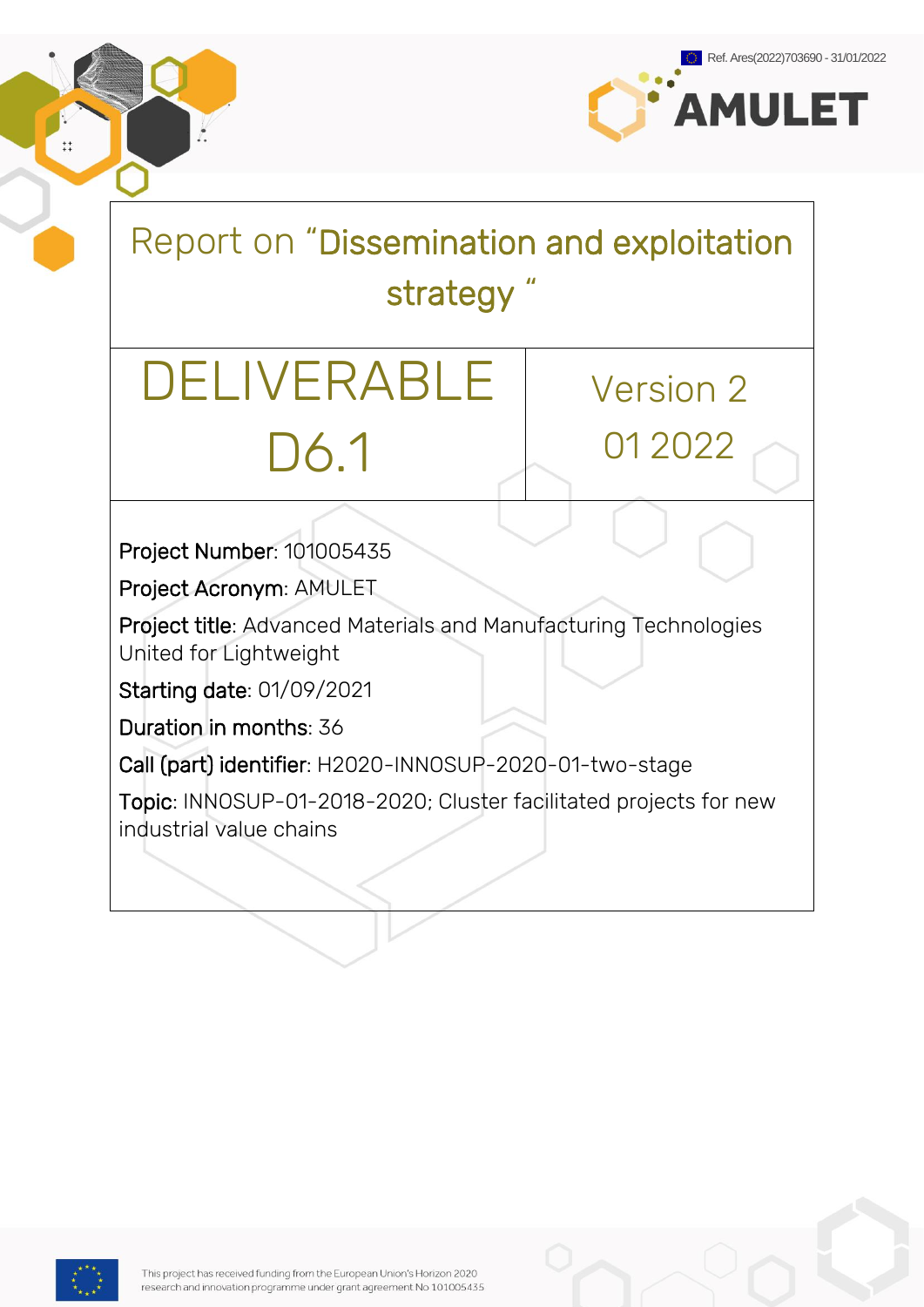

Report on "Dissemination and exploitation strategy "

# DELIVERABLE D6.1

Version 2 01 2022

Project Number: 101005435

Project Acronym: AMULET

Project title: Advanced Materials and Manufacturing Technologies United for Lightweight

Starting date: 01/09/2021

Duration in months: 36

Call (part) identifier: H2020-INNOSUP-2020-01-two-stage

Topic: INNOSUP-01-2018-2020; Cluster facilitated projects for new industrial value chains



 $\ddagger$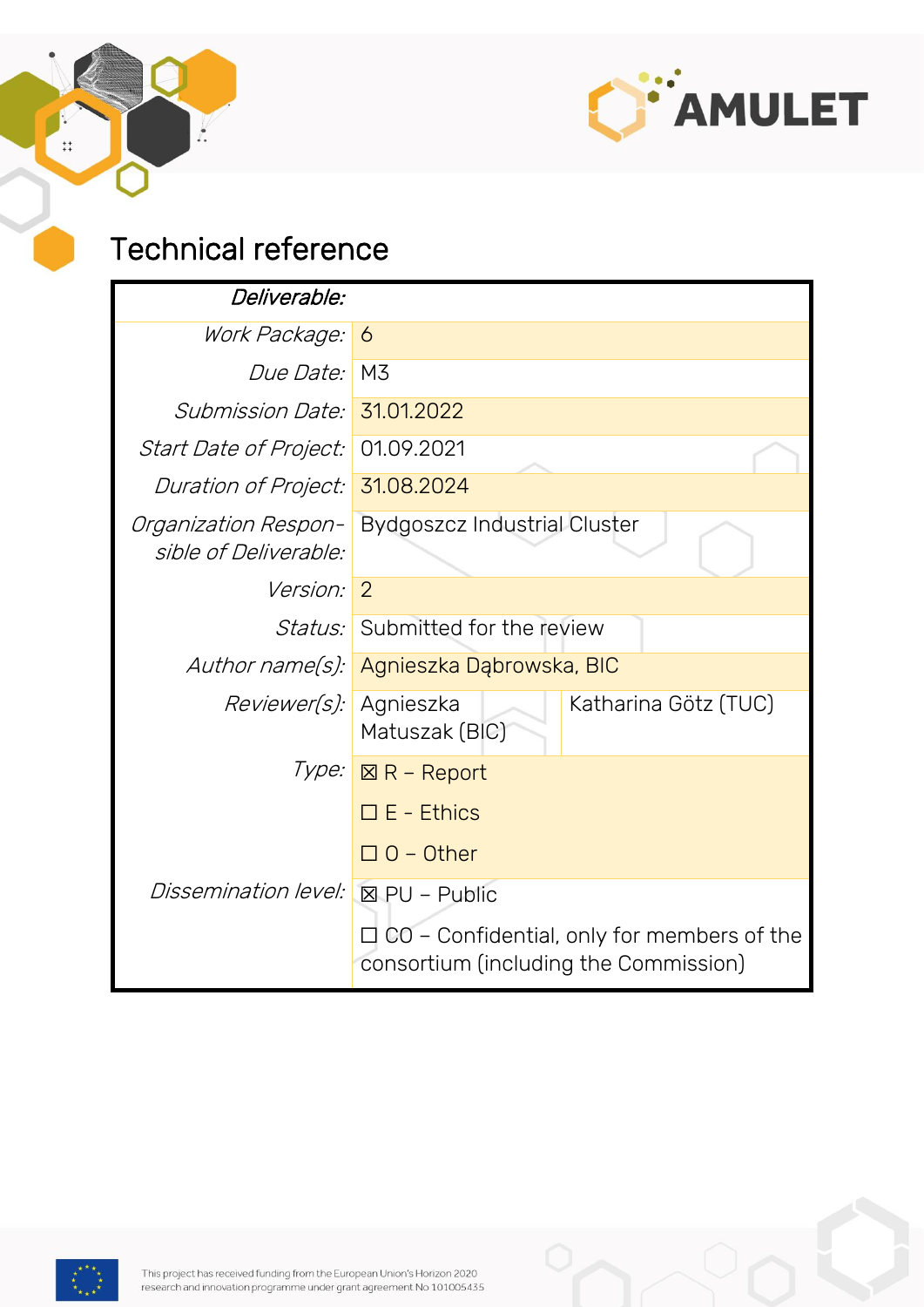

### Technical reference

ŀ.

 $\ddot{ }$ :

| <i>Deliverable:</i>                           |                                                                                       |                      |  |  |  |
|-----------------------------------------------|---------------------------------------------------------------------------------------|----------------------|--|--|--|
| Work Package:                                 | 6                                                                                     |                      |  |  |  |
| <i>Due Date:</i>                              | M3                                                                                    |                      |  |  |  |
| <i>Submission Date:</i>                       | 31.01.2022                                                                            |                      |  |  |  |
| <i>Start Date of Project:</i>                 | 01.09.2021                                                                            |                      |  |  |  |
| <i>Duration of Project:</i>                   | 31.08.2024                                                                            |                      |  |  |  |
| Organization Respon-<br>sible of Deliverable: | <b>Bydgoszcz Industrial Cluster</b>                                                   |                      |  |  |  |
| <i>Version:</i>                               | $\overline{2}$                                                                        |                      |  |  |  |
|                                               | <i>Status:</i> Submitted for the review                                               |                      |  |  |  |
| Author name(s):                               | Agnieszka Dąbrowska, BIC                                                              |                      |  |  |  |
| <i>Reviewer(s):</i>                           | Agnieszka<br>Matuszak (BIC)                                                           | Katharina Götz (TUC) |  |  |  |
|                                               | Type: <u>⊠R – Report</u>                                                              |                      |  |  |  |
|                                               | $\square$ E - Ethics                                                                  |                      |  |  |  |
|                                               | $\Box$ O – Other                                                                      |                      |  |  |  |
| <i>Dissemination level:</i>                   | $\boxtimes$ PU – Public                                                               |                      |  |  |  |
|                                               | ∃ CO – Confidential, only for members of the<br>consortium (including the Commission) |                      |  |  |  |

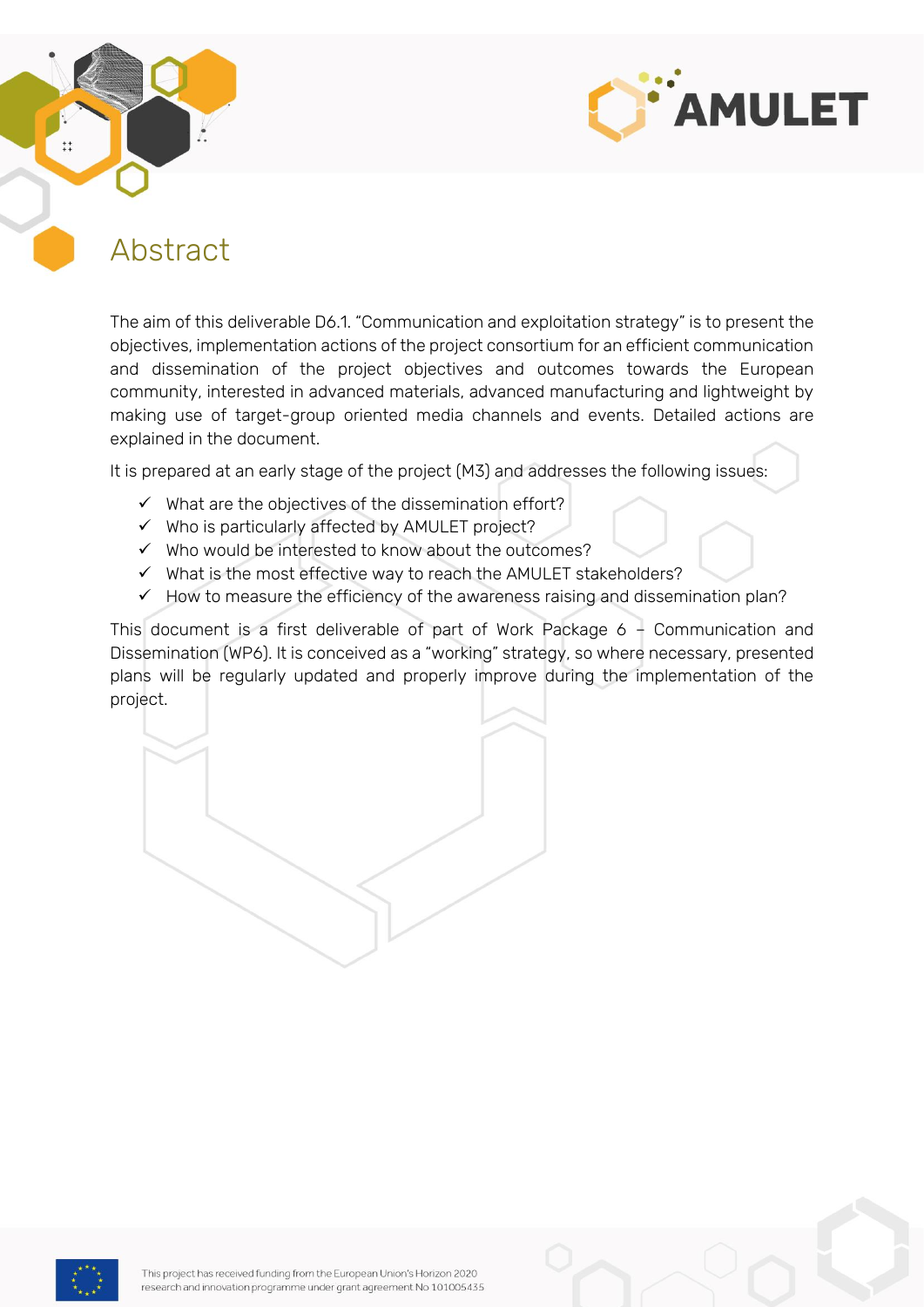



### <span id="page-2-0"></span>Abstract

The aim of this deliverable D6.1. "Communication and exploitation strategy" is to present the objectives, implementation actions of the project consortium for an efficient communication and dissemination of the project objectives and outcomes towards the European community, interested in advanced materials, advanced manufacturing and lightweight by making use of target-group oriented media channels and events. Detailed actions are explained in the document.

It is prepared at an early stage of the project (M3) and addresses the following issues:

- ✓ What are the objectives of the dissemination effort?
- $\checkmark$  Who is particularly affected by AMULET project?
- $\checkmark$  Who would be interested to know about the outcomes?
- ✓ What is the most effective way to reach the AMULET stakeholders?
- $\checkmark$  How to measure the efficiency of the awareness raising and dissemination plan?

This document is a first deliverable of part of Work Package 6 – Communication and Dissemination (WP6). It is conceived as a "working" strategy, so where necessary, presented plans will be regularly updated and properly improve during the implementation of the project.

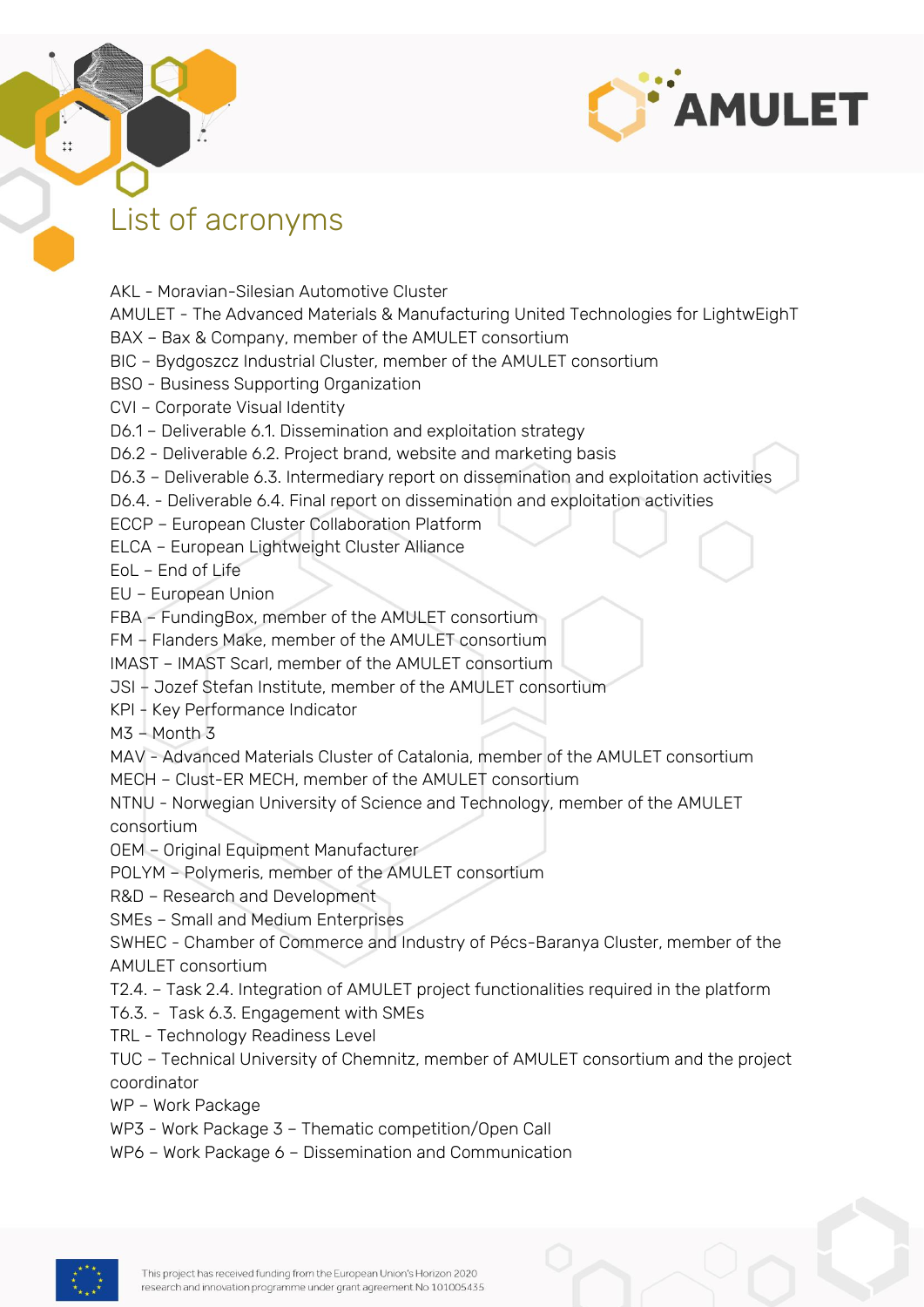

### <span id="page-3-0"></span>List of acronyms

AKL - Moravian-Silesian Automotive Cluster AMULET - The Advanced Materials & Manufacturing United Technologies for LightwEighT BAX – Bax & Company, member of the AMULET consortium BIC – Bydgoszcz Industrial Cluster, member of the AMULET consortium BSO - Business Supporting Organization CVI – Corporate Visual Identity D6.1 – Deliverable 6.1. Dissemination and exploitation strategy D6.2 - Deliverable 6.2. Project brand, website and marketing basis D6.3 – Deliverable 6.3. Intermediary report on dissemination and exploitation activities D6.4. - Deliverable 6.4. Final report on dissemination and exploitation activities ECCP – European Cluster Collaboration Platform ELCA – European Lightweight Cluster Alliance EoL – End of Life EU – European Union FBA – FundingBox, member of the AMULET consortium FM – Flanders Make, member of the AMULET consortium IMAST – IMAST Scarl, member of the AMULET consortium JSI – Jozef Stefan Institute, member of the AMULET consortium KPI - Key Performance Indicator  $M3 - M$ onth 3 MAV - Advanced Materials Cluster of Catalonia, member of the AMULET consortium MECH – Clust-ER MECH, member of the AMULET consortium NTNU - Norwegian University of Science and Technology, member of the AMULET consortium OEM – Original Equipment Manufacturer POLYM – Polymeris, member of the AMULET consortium R&D – Research and Development SMEs – Small and Medium Enterprises SWHEC - Chamber of Commerce and Industry of Pécs-Baranya Cluster, member of the AMULET consortium T2.4. – Task 2.4. Integration of AMULET project functionalities required in the platform T6.3. - Task 6.3. Engagement with SMEs TRL - Technology Readiness Level TUC – Technical University of Chemnitz, member of AMULET consortium and the project coordinator WP – Work Package WP3 - Work Package 3 – Thematic competition/Open Call

WP6 – Work Package 6 – Dissemination and Communication

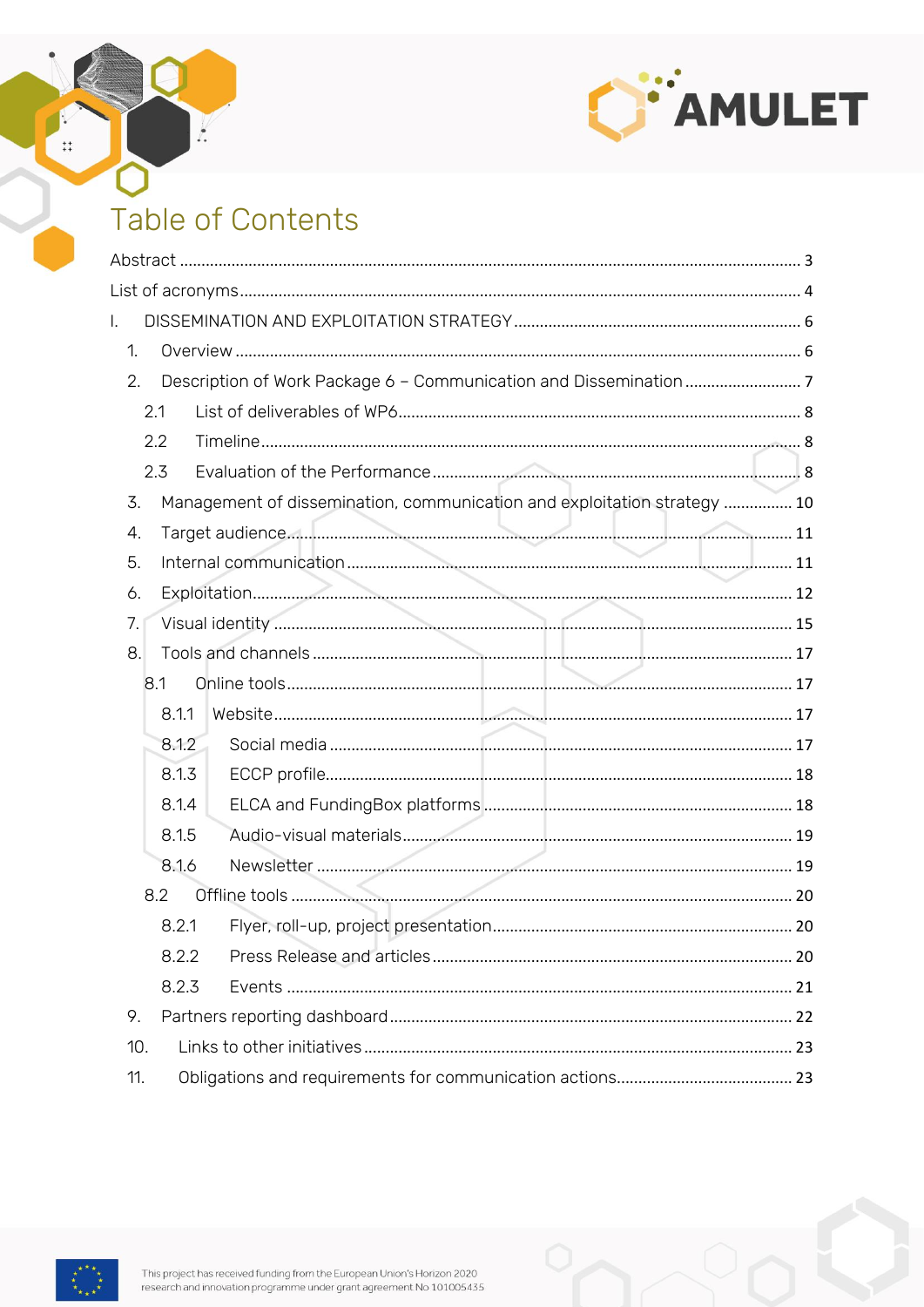

## Table of Contents

 $\frac{1}{2}$ 

 $\ddagger$ 

| Ι.                                                                             |  |  |  |  |  |  |  |
|--------------------------------------------------------------------------------|--|--|--|--|--|--|--|
| 1.                                                                             |  |  |  |  |  |  |  |
| 2.                                                                             |  |  |  |  |  |  |  |
| 2.1                                                                            |  |  |  |  |  |  |  |
| 2.2                                                                            |  |  |  |  |  |  |  |
| 2.3                                                                            |  |  |  |  |  |  |  |
| 3.<br>Management of dissemination, communication and exploitation strategy  10 |  |  |  |  |  |  |  |
| 4.                                                                             |  |  |  |  |  |  |  |
| 5.                                                                             |  |  |  |  |  |  |  |
| 6.                                                                             |  |  |  |  |  |  |  |
| 7.                                                                             |  |  |  |  |  |  |  |
| 8.                                                                             |  |  |  |  |  |  |  |
| 8.1                                                                            |  |  |  |  |  |  |  |
| 8.1.1                                                                          |  |  |  |  |  |  |  |
| 8.1.2                                                                          |  |  |  |  |  |  |  |
| 8.1.3                                                                          |  |  |  |  |  |  |  |
| 8.1.4                                                                          |  |  |  |  |  |  |  |
| 8.1.5                                                                          |  |  |  |  |  |  |  |
| 8.1.6                                                                          |  |  |  |  |  |  |  |
| 8.2                                                                            |  |  |  |  |  |  |  |
| 8.2.1                                                                          |  |  |  |  |  |  |  |
| 8.2.2                                                                          |  |  |  |  |  |  |  |
| 8.2.3                                                                          |  |  |  |  |  |  |  |
| 9.                                                                             |  |  |  |  |  |  |  |
| 10.                                                                            |  |  |  |  |  |  |  |
| 11.                                                                            |  |  |  |  |  |  |  |

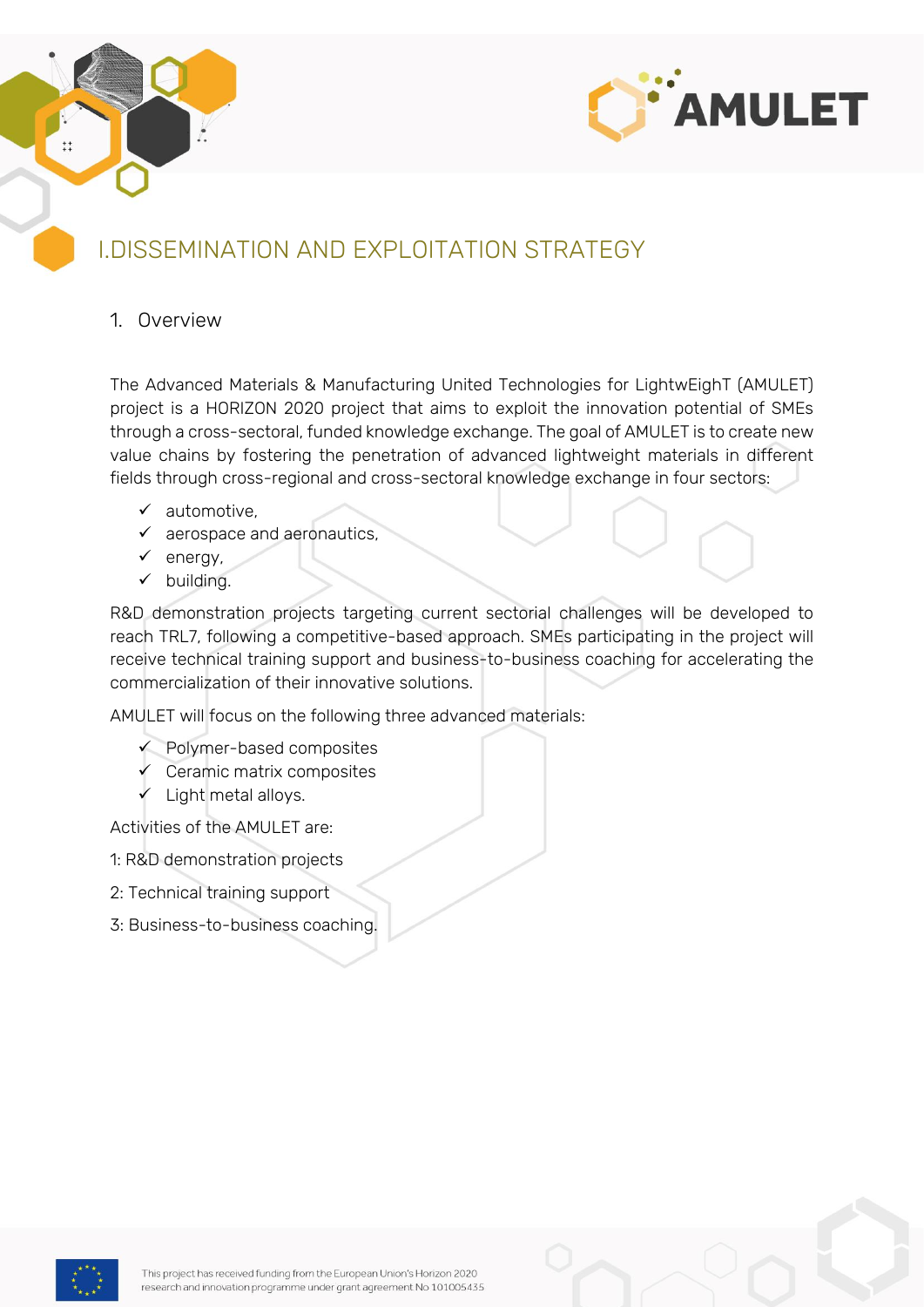



### <span id="page-5-0"></span>I.DISSEMINATION AND EXPLOITATION STRATEGY

#### <span id="page-5-1"></span>1. Overview

The Advanced Materials & Manufacturing United Technologies for LightwEighT (AMULET) project is a HORIZON 2020 project that aims to exploit the innovation potential of SMEs through a cross-sectoral, funded knowledge exchange. The goal of AMULET is to create new value chains by fostering the penetration of advanced lightweight materials in different fields through cross-regional and cross-sectoral knowledge exchange in four sectors:

- ✓ automotive,
- $\checkmark$  aerospace and aeronautics,
- ✓ energy,
- ✓ building.

R&D demonstration projects targeting current sectorial challenges will be developed to reach TRL7, following a competitive-based approach. SMEs participating in the project will receive technical training support and business-to-business coaching for accelerating the commercialization of their innovative solutions.

AMULET will focus on the following three advanced materials:

- ✓ Polymer-based composites
- Ceramic matrix composites
- ✓ Light metal alloys.

Activities of the AMULET are:

- 1: R&D demonstration projects
- 2: Technical training support
- 3: Business-to-business coaching.

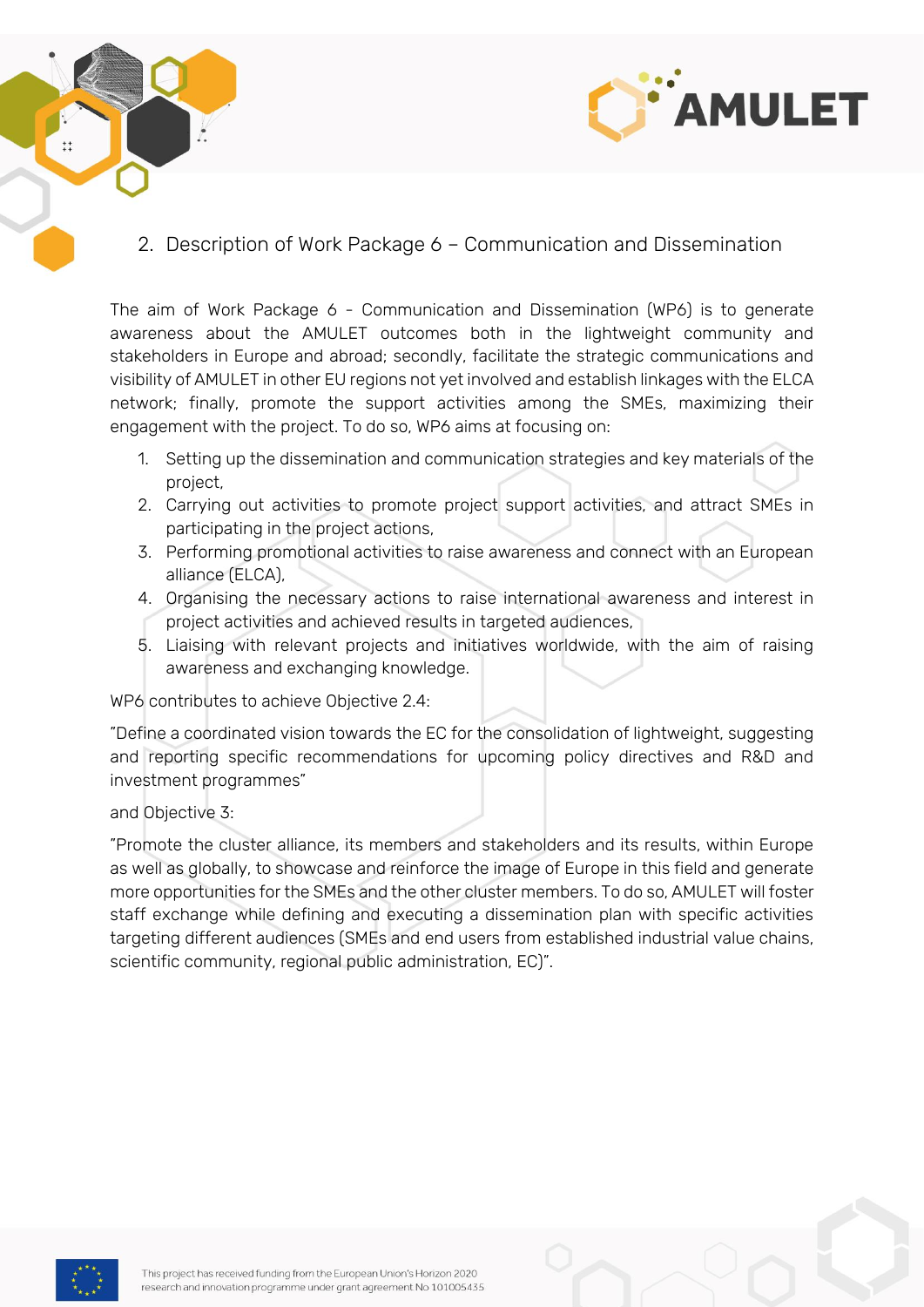



<span id="page-6-0"></span>2. Description of Work Package 6 – Communication and Dissemination

The aim of Work Package 6 - Communication and Dissemination (WP6) is to generate awareness about the AMULET outcomes both in the lightweight community and stakeholders in Europe and abroad; secondly, facilitate the strategic communications and visibility of AMULET in other EU regions not yet involved and establish linkages with the ELCA network; finally, promote the support activities among the SMEs, maximizing their engagement with the project. To do so, WP6 aims at focusing on:

- 1. Setting up the dissemination and communication strategies and key materials of the project,
- 2. Carrying out activities to promote project support activities, and attract SMEs in participating in the project actions,
- 3. Performing promotional activities to raise awareness and connect with an European alliance (ELCA),
- 4. Organising the necessary actions to raise international awareness and interest in project activities and achieved results in targeted audiences,
- 5. Liaising with relevant projects and initiatives worldwide, with the aim of raising awareness and exchanging knowledge.

WP6 contributes to achieve Objective 2.4:

"Define a coordinated vision towards the EC for the consolidation of lightweight, suggesting and reporting specific recommendations for upcoming policy directives and R&D and investment programmes"

and Objective 3:

"Promote the cluster alliance, its members and stakeholders and its results, within Europe as well as globally, to showcase and reinforce the image of Europe in this field and generate more opportunities for the SMEs and the other cluster members. To do so, AMULET will foster staff exchange while defining and executing a dissemination plan with specific activities targeting different audiences (SMEs and end users from established industrial value chains, scientific community, regional public administration, EC)".

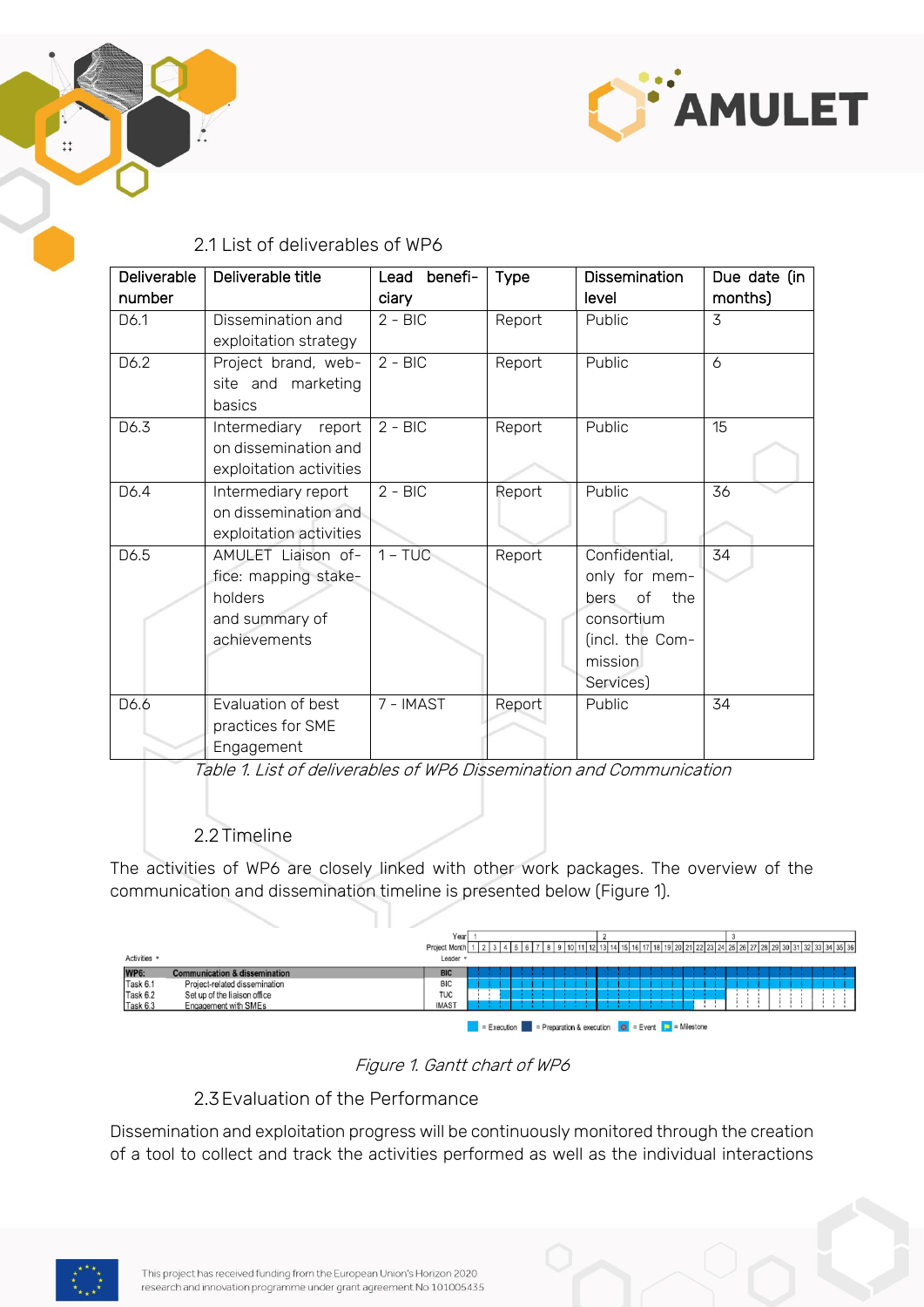



#### 2.1 List of deliverables of WP6

<span id="page-7-0"></span>

| <b>Deliverable</b> | Deliverable title       | benefi-<br>Lead | <b>Type</b> | Dissemination     | Due date (in |
|--------------------|-------------------------|-----------------|-------------|-------------------|--------------|
| number             |                         | ciary           |             | level             | months)      |
| D6.1               | Dissemination and       | $2 - BIC$       | Report      | Public            | 3            |
|                    | exploitation strategy   |                 |             |                   |              |
| D6.2               | Project brand, web-     | $2 - BIC$       | Report      | Public            | 6            |
|                    | site and marketing      |                 |             |                   |              |
|                    | basics                  |                 |             |                   |              |
| D6.3               | Intermediary report     | $2 - BIC$       | Report      | Public            | 15           |
|                    | on dissemination and    |                 |             |                   |              |
|                    | exploitation activities |                 |             |                   |              |
| D6.4               | Intermediary report     | $2 - BIC$       | Report      | Public            | 36           |
|                    | on dissemination and    |                 |             |                   |              |
|                    | exploitation activities |                 |             |                   |              |
| D6.5               | AMULET Liaison of-      | $1 - TUC$       | Report      | Confidential,     | 34           |
|                    | fice: mapping stake-    |                 |             | only for mem-     |              |
|                    | holders                 |                 |             | of<br>the<br>bers |              |
|                    | and summary of          |                 |             | consortium        |              |
|                    | achievements            |                 |             | (incl. the Com-   |              |
|                    |                         |                 |             | mission           |              |
|                    |                         |                 |             | Services)         |              |
| D6.6               | Evaluation of best      | 7 - IMAST       | Report      | Public            | 34           |
|                    | practices for SME       |                 |             |                   |              |
|                    | Engagement              |                 |             |                   |              |

Table 1. List of deliverables of WP6 Dissemination and Communication

#### 2.2 Timeline

<span id="page-7-1"></span>The activities of WP6 are closely linked with other work packages. The overview of the communication and dissemination timeline is presented below (Figure 1).

|              |                                          | Year            |                 |  |  |  |                                                                                                                                                          |  |  |  |  |  |
|--------------|------------------------------------------|-----------------|-----------------|--|--|--|----------------------------------------------------------------------------------------------------------------------------------------------------------|--|--|--|--|--|
|              |                                          | Project Month 1 | 1 1 2 1 3 1 4 1 |  |  |  | 5   6   7   8   9   10   11   12   13   14   15   16   17   18   19   20   21   22   23   24   25   26   27   28   29   30   31   32   33   34   35   36 |  |  |  |  |  |
| Activities v |                                          | Leader v        |                 |  |  |  |                                                                                                                                                          |  |  |  |  |  |
| <b>WP6:</b>  | <b>Communication &amp; dissemination</b> | <b>BIC</b>      |                 |  |  |  |                                                                                                                                                          |  |  |  |  |  |
| Task 6.1     | Project-related dissemination            | <b>BIC</b>      |                 |  |  |  |                                                                                                                                                          |  |  |  |  |  |
| Task 6.2     | Set up of the liaison office             | <b>TUC</b>      |                 |  |  |  |                                                                                                                                                          |  |  |  |  |  |
| Task 6.3     | Engagement with SMEs                     | <b>IMAST</b>    |                 |  |  |  |                                                                                                                                                          |  |  |  |  |  |
|              |                                          |                 |                 |  |  |  | $\bullet$ = Execution = Preparation & execution $\bullet$ = Event $\bullet$ = Milestone                                                                  |  |  |  |  |  |

#### Figure 1. Gantt chart of WP6

#### 2.3Evaluation of the Performance

<span id="page-7-2"></span>Dissemination and exploitation progress will be continuously monitored through the creation of a tool to collect and track the activities performed as well as the individual interactions

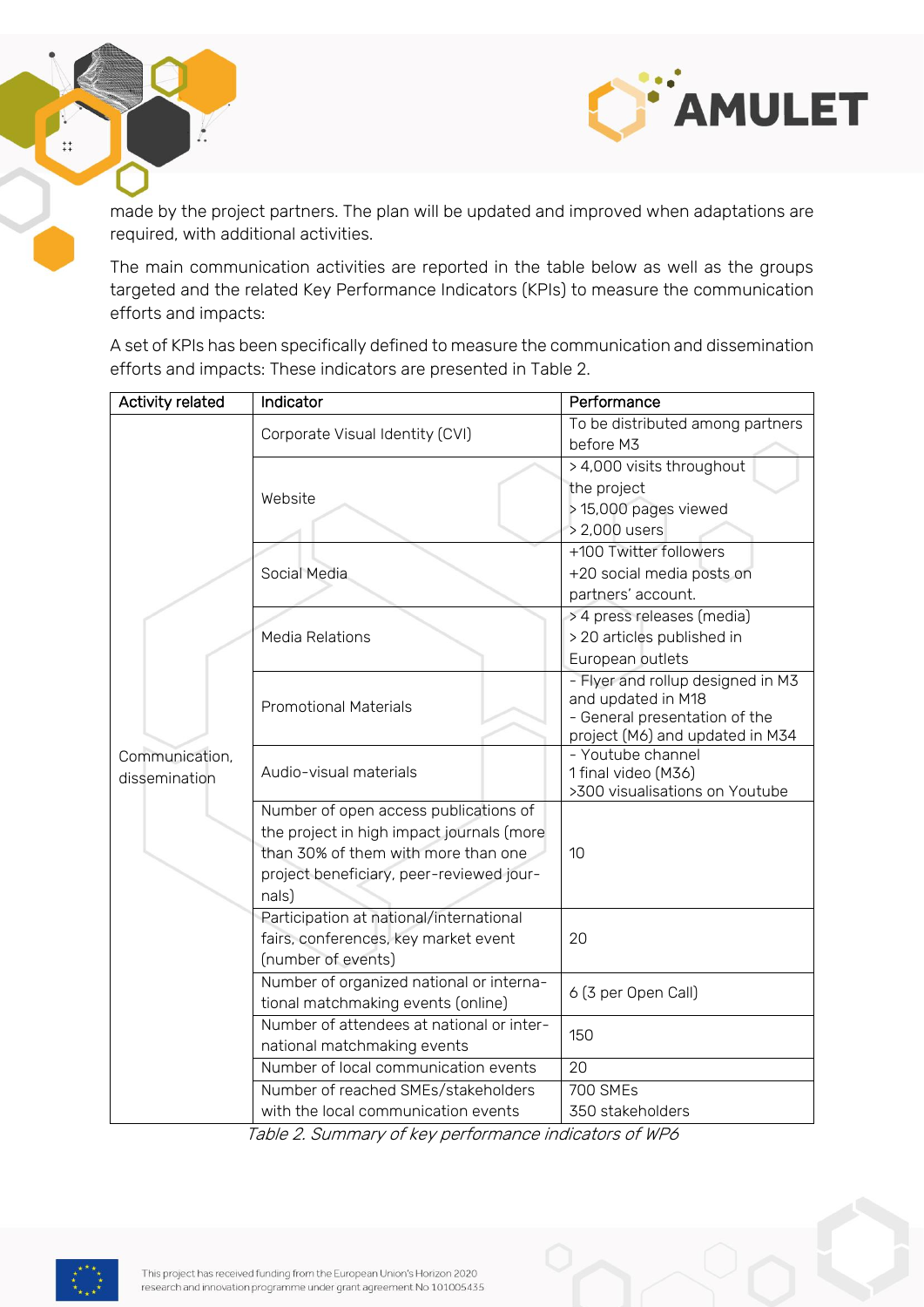

made by the project partners. The plan will be updated and improved when adaptations are required, with additional activities.

The main communication activities are reported in the table below as well as the groups targeted and the related Key Performance Indicators (KPIs) to measure the communication efforts and impacts:

A set of KPIs has been specifically defined to measure the communication and dissemination efforts and impacts: These indicators are presented in Table 2.

| <b>Activity related</b>         | Indicator                                                                                                                                                                      | Performance                                                                                                                 |  |  |  |
|---------------------------------|--------------------------------------------------------------------------------------------------------------------------------------------------------------------------------|-----------------------------------------------------------------------------------------------------------------------------|--|--|--|
|                                 | Corporate Visual Identity (CVI)                                                                                                                                                | To be distributed among partners<br>before M3                                                                               |  |  |  |
| Communication,<br>dissemination | Website                                                                                                                                                                        | > 4,000 visits throughout<br>the project<br>> 15,000 pages viewed<br>> 2,000 users                                          |  |  |  |
|                                 | Social Media                                                                                                                                                                   | +100 Twitter followers<br>+20 social media posts on<br>partners' account.                                                   |  |  |  |
|                                 | <b>Media Relations</b>                                                                                                                                                         | > 4 press releases (media)<br>> 20 articles published in<br>European outlets                                                |  |  |  |
|                                 | <b>Promotional Materials</b>                                                                                                                                                   | - Flyer and rollup designed in M3<br>and updated in M18<br>- General presentation of the<br>project (M6) and updated in M34 |  |  |  |
|                                 | Audio-visual materials                                                                                                                                                         | - Youtube channel<br>1 final video (M36)<br>>300 visualisations on Youtube                                                  |  |  |  |
|                                 | Number of open access publications of<br>the project in high impact journals (more<br>than 30% of them with more than one<br>project beneficiary, peer-reviewed jour-<br>nals) | 10                                                                                                                          |  |  |  |
|                                 | Participation at national/international<br>fairs, conferences, key market event<br>(number of events)                                                                          | 20                                                                                                                          |  |  |  |
|                                 | Number of organized national or interna-<br>tional matchmaking events (online)                                                                                                 | 6 (3 per Open Call)                                                                                                         |  |  |  |
|                                 | Number of attendees at national or inter-<br>national matchmaking events                                                                                                       | 150                                                                                                                         |  |  |  |
|                                 | Number of local communication events                                                                                                                                           | 20                                                                                                                          |  |  |  |
|                                 | Number of reached SMEs/stakeholders                                                                                                                                            | <b>700 SMEs</b>                                                                                                             |  |  |  |
|                                 | with the local communication events                                                                                                                                            | 350 stakeholders                                                                                                            |  |  |  |

Table 2. Summary of key performance indicators of WP6



 $\ddot{+}\dot{+}$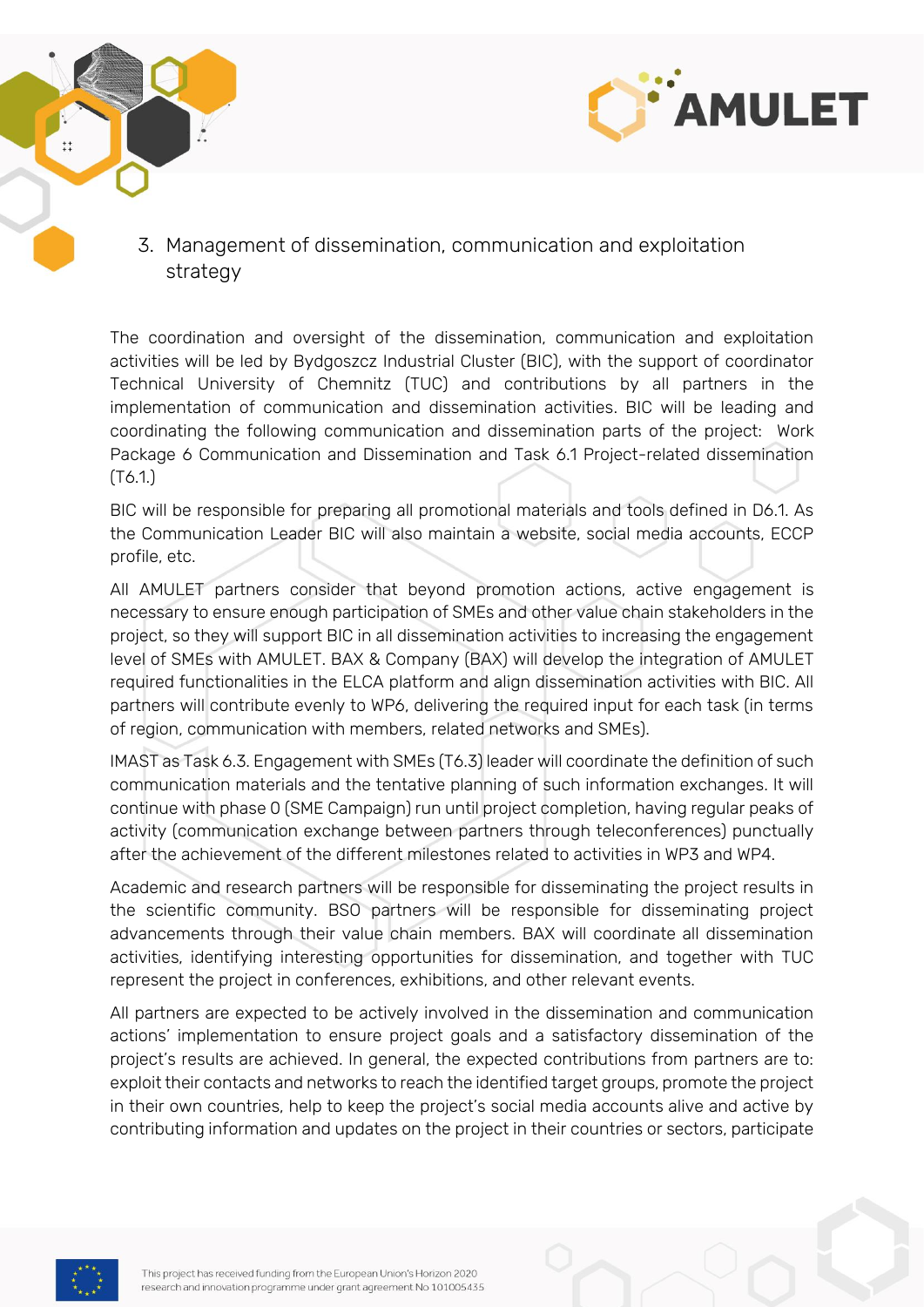



<span id="page-9-0"></span>3. Management of dissemination, communication and exploitation strategy

The coordination and oversight of the dissemination, communication and exploitation activities will be led by Bydgoszcz Industrial Cluster (BIC), with the support of coordinator Technical University of Chemnitz (TUC) and contributions by all partners in the implementation of communication and dissemination activities. BIC will be leading and coordinating the following communication and dissemination parts of the project: Work Package 6 Communication and Dissemination and Task 6.1 Project-related dissemination (T6.1.)

BIC will be responsible for preparing all promotional materials and tools defined in D6.1. As the Communication Leader BIC will also maintain a website, social media accounts, ECCP profile, etc.

All AMULET partners consider that beyond promotion actions, active engagement is necessary to ensure enough participation of SMEs and other value chain stakeholders in the project, so they will support BIC in all dissemination activities to increasing the engagement level of SMEs with AMULET. BAX & Company (BAX) will develop the integration of AMULET required functionalities in the ELCA platform and align dissemination activities with BIC. All partners will contribute evenly to WP6, delivering the required input for each task (in terms of region, communication with members, related networks and SMEs).

IMAST as Task 6.3. Engagement with SMEs (T6.3) leader will coordinate the definition of such communication materials and the tentative planning of such information exchanges. It will continue with phase 0 (SME Campaign) run until project completion, having regular peaks of activity (communication exchange between partners through teleconferences) punctually after the achievement of the different milestones related to activities in WP3 and WP4.

Academic and research partners will be responsible for disseminating the project results in the scientific community. BSO partners will be responsible for disseminating project advancements through their value chain members. BAX will coordinate all dissemination activities, identifying interesting opportunities for dissemination, and together with TUC represent the project in conferences, exhibitions, and other relevant events.

All partners are expected to be actively involved in the dissemination and communication actions' implementation to ensure project goals and a satisfactory dissemination of the project's results are achieved. In general, the expected contributions from partners are to: exploit their contacts and networks to reach the identified target groups, promote the project in their own countries, help to keep the project's social media accounts alive and active by contributing information and updates on the project in their countries or sectors, participate

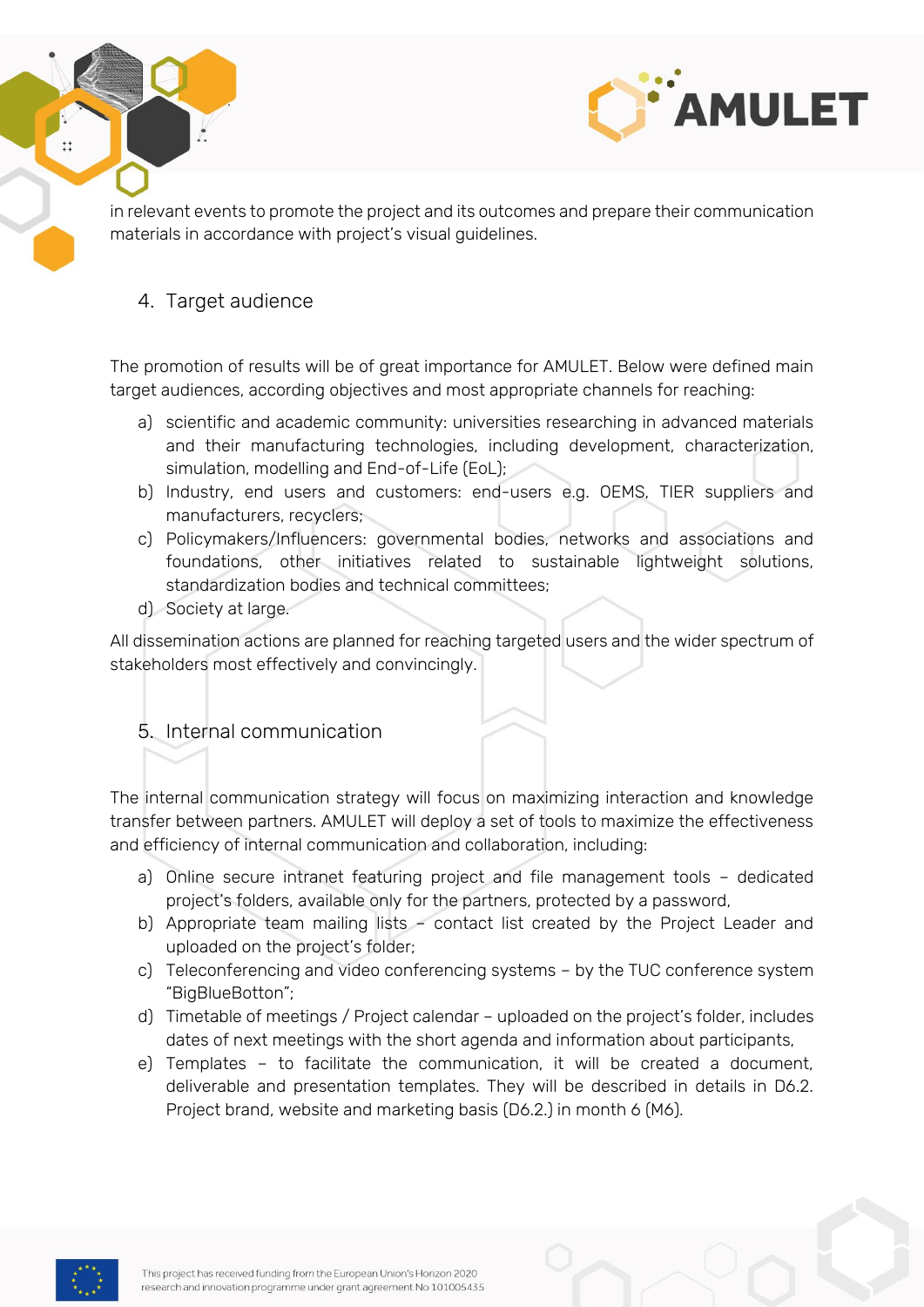



in relevant events to promote the project and its outcomes and prepare their communication materials in accordance with project's visual guidelines.

#### <span id="page-10-0"></span>4. Target audience

The promotion of results will be of great importance for AMULET. Below were defined main target audiences, according objectives and most appropriate channels for reaching:

- a) scientific and academic community: universities researching in advanced materials and their manufacturing technologies, including development, characterization, simulation, modelling and End-of-Life (EoL);
- b) Industry, end users and customers: end-users e.g. OEMS, TIER suppliers and manufacturers, recyclers;
- c) Policymakers/Influencers: governmental bodies, networks and associations and foundations, other initiatives related to sustainable lightweight solutions, standardization bodies and technical committees;
- d) Society at large.

All dissemination actions are planned for reaching targeted users and the wider spectrum of stakeholders most effectively and convincingly.

#### <span id="page-10-1"></span>5. Internal communication

The internal communication strategy will focus on maximizing interaction and knowledge transfer between partners. AMULET will deploy a set of tools to maximize the effectiveness and efficiency of internal communication and collaboration, including:

- a) Online secure intranet featuring project and file management tools dedicated project's folders, available only for the partners, protected by a password,
- b) Appropriate team mailing lists contact list created by the Project Leader and uploaded on the project's folder;
- c) Teleconferencing and video conferencing systems by the TUC conference system "BigBlueBotton";
- d) Timetable of meetings / Project calendar uploaded on the project's folder, includes dates of next meetings with the short agenda and information about participants,
- e) Templates to facilitate the communication, it will be created a document, deliverable and presentation templates. They will be described in details in D6.2. Project brand, website and marketing basis (D6.2.) in month 6 (M6).

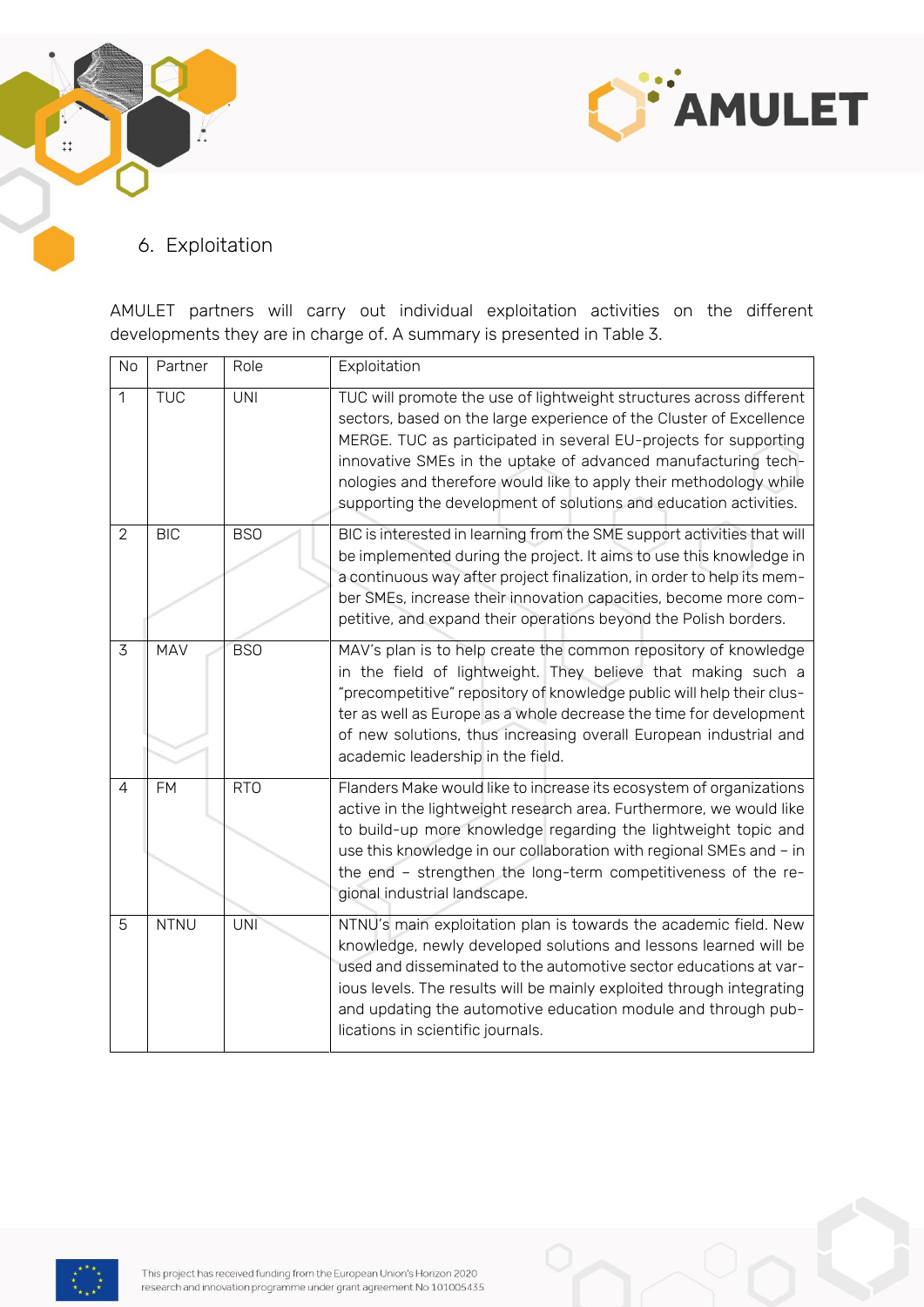



#### <span id="page-11-0"></span>6. Exploitation

AMULET partners will carry out individual exploitation activities on the different developments they are in charge of. A summary is presented in Table 3.

| No             | Partner     | Role       | Exploitation                                                                                                                                                                                                                                                                                                                                                                                                               |
|----------------|-------------|------------|----------------------------------------------------------------------------------------------------------------------------------------------------------------------------------------------------------------------------------------------------------------------------------------------------------------------------------------------------------------------------------------------------------------------------|
| $\overline{1}$ | <b>TUC</b>  | UNI        | TUC will promote the use of lightweight structures across different<br>sectors, based on the large experience of the Cluster of Excellence<br>MERGE. TUC as participated in several EU-projects for supporting<br>innovative SMEs in the uptake of advanced manufacturing tech-<br>nologies and therefore would like to apply their methodology while<br>supporting the development of solutions and education activities. |
| $\overline{2}$ | <b>BIC</b>  | <b>BSO</b> | BIC is interested in learning from the SME support activities that will<br>be implemented during the project. It aims to use this knowledge in<br>a continuous way after project finalization, in order to help its mem-<br>ber SMEs, increase their innovation capacities, become more com-<br>petitive, and expand their operations beyond the Polish borders.                                                           |
| 3              | <b>MAV</b>  | <b>BSO</b> | MAV's plan is to help create the common repository of knowledge<br>in the field of lightweight. They believe that making such a<br>"precompetitive" repository of knowledge public will help their clus-<br>ter as well as Europe as a whole decrease the time for development<br>of new solutions, thus increasing overall European industrial and<br>academic leadership in the field.                                   |
| $\overline{4}$ | <b>FM</b>   | <b>RTO</b> | Flanders Make would like to increase its ecosystem of organizations<br>active in the lightweight research area. Furthermore, we would like<br>to build-up more knowledge regarding the lightweight topic and<br>use this knowledge in our collaboration with regional SMEs and - in<br>the end - strengthen the long-term competitiveness of the re-<br>gional industrial landscape.                                       |
| 5              | <b>NTNU</b> | <b>UNI</b> | NTNU's main exploitation plan is towards the academic field. New<br>knowledge, newly developed solutions and lessons learned will be<br>used and disseminated to the automotive sector educations at var-<br>ious levels. The results will be mainly exploited through integrating<br>and updating the automotive education module and through pub-<br>lications in scientific journals.                                   |

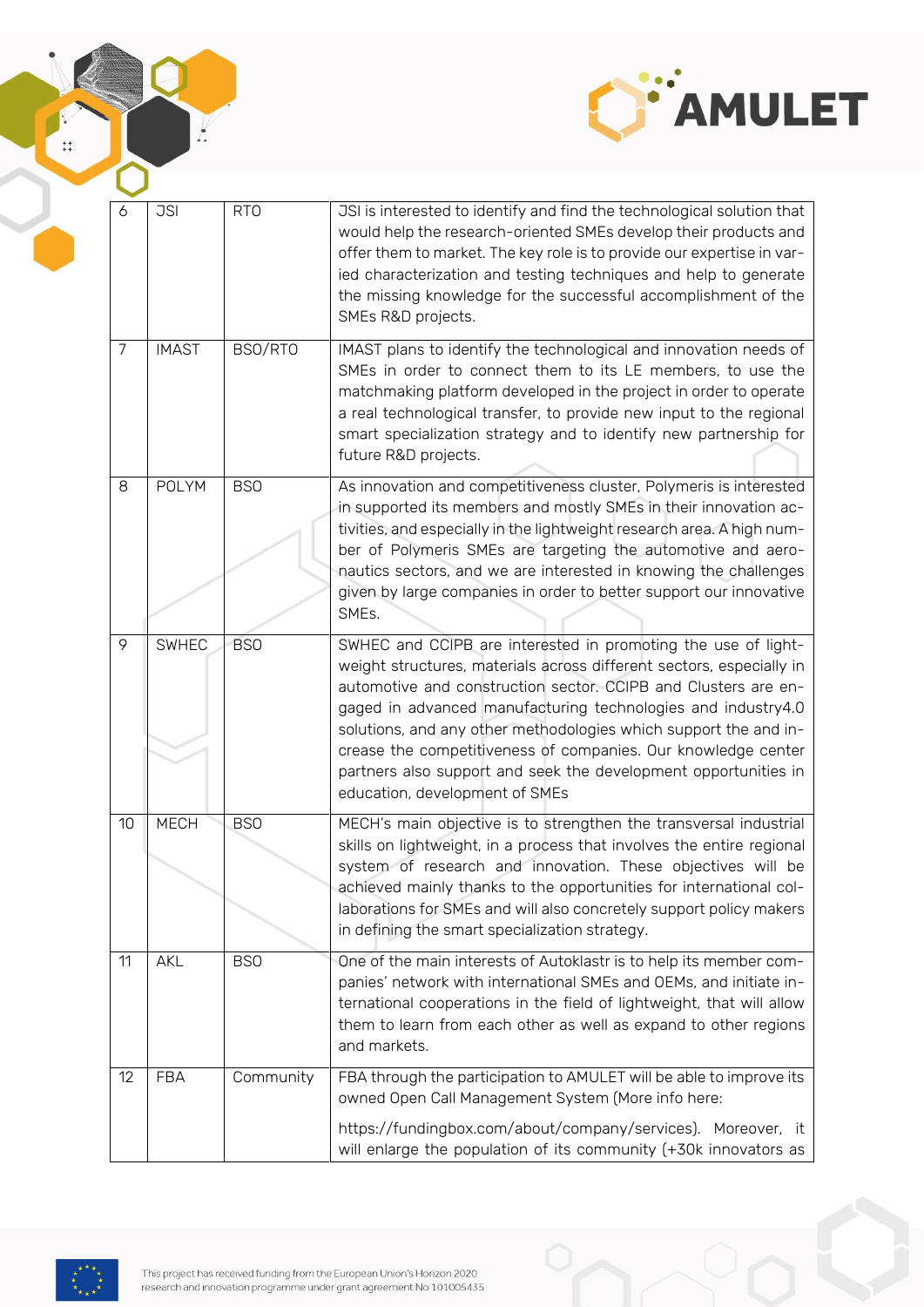

| 6  | <b>JSI</b>   | <b>RTO</b> | JSI is interested to identify and find the technological solution that<br>would help the research-oriented SMEs develop their products and<br>offer them to market. The key role is to provide our expertise in var-<br>ied characterization and testing techniques and help to generate<br>the missing knowledge for the successful accomplishment of the<br>SMEs R&D projects.                                                                                                                                  |
|----|--------------|------------|-------------------------------------------------------------------------------------------------------------------------------------------------------------------------------------------------------------------------------------------------------------------------------------------------------------------------------------------------------------------------------------------------------------------------------------------------------------------------------------------------------------------|
| 7  | <b>IMAST</b> | BSO/RTO    | IMAST plans to identify the technological and innovation needs of<br>SMEs in order to connect them to its LE members, to use the<br>matchmaking platform developed in the project in order to operate<br>a real technological transfer, to provide new input to the regional<br>smart specialization strategy and to identify new partnership for<br>future R&D projects.                                                                                                                                         |
| 8  | <b>POLYM</b> | <b>BSO</b> | As innovation and competitiveness cluster, Polymeris is interested<br>in supported its members and mostly SMEs in their innovation ac-<br>tivities, and especially in the lightweight research area. A high num-<br>ber of Polymeris SMEs are targeting the automotive and aero-<br>nautics sectors, and we are interested in knowing the challenges<br>given by large companies in order to better support our innovative<br>SMEs.                                                                               |
| 9  | <b>SWHEC</b> | <b>BSO</b> | SWHEC and CCIPB are interested in promoting the use of light-<br>weight structures, materials across different sectors, especially in<br>automotive and construction sector. CCIPB and Clusters are en-<br>gaged in advanced manufacturing technologies and industry4.0<br>solutions, and any other methodologies which support the and in-<br>crease the competitiveness of companies. Our knowledge center<br>partners also support and seek the development opportunities in<br>education, development of SMEs |
| 10 | <b>MECH</b>  | <b>BSO</b> | MECH's main objective is to strengthen the transversal industrial<br>skills on lightweight, in a process that involves the entire regional<br>system of research and innovation. These objectives will be<br>achieved mainly thanks to the opportunities for international col-<br>laborations for SMEs and will also concretely support policy makers<br>in defining the smart specialization strategy.                                                                                                          |
| 11 | AKL          | <b>BSO</b> | One of the main interests of Autoklastr is to help its member com-<br>panies' network with international SMEs and OEMs, and initiate in-<br>ternational cooperations in the field of lightweight, that will allow<br>them to learn from each other as well as expand to other regions<br>and markets.                                                                                                                                                                                                             |
| 12 | <b>FBA</b>   | Community  | FBA through the participation to AMULET will be able to improve its<br>owned Open Call Management System (More info here:<br>https://fundingbox.com/about/company/services). Moreover, it<br>will enlarge the population of its community (+30k innovators as                                                                                                                                                                                                                                                     |



 $\sum$ 

 $\ddot{x}$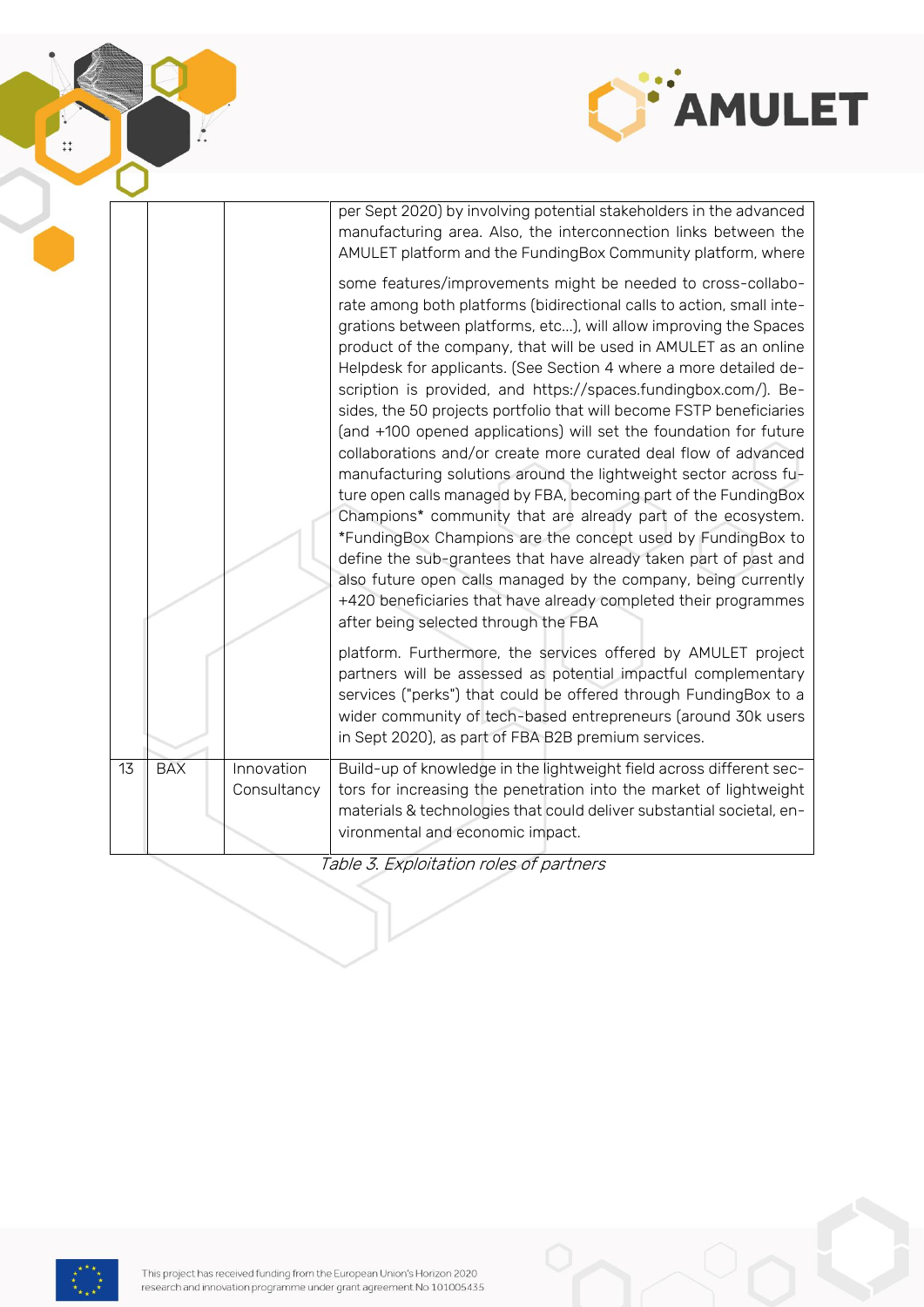

|    |            |             | per Sept 2020) by involving potential stakeholders in the advanced<br>manufacturing area. Also, the interconnection links between the<br>AMULET platform and the FundingBox Community platform, where                                                                                                                                                                                                                                                                                                                                                                                                                                                                                                                                                                                                                                                                                                                                                                                                                                                                                                                                                         |
|----|------------|-------------|---------------------------------------------------------------------------------------------------------------------------------------------------------------------------------------------------------------------------------------------------------------------------------------------------------------------------------------------------------------------------------------------------------------------------------------------------------------------------------------------------------------------------------------------------------------------------------------------------------------------------------------------------------------------------------------------------------------------------------------------------------------------------------------------------------------------------------------------------------------------------------------------------------------------------------------------------------------------------------------------------------------------------------------------------------------------------------------------------------------------------------------------------------------|
|    |            |             | some features/improvements might be needed to cross-collabo-<br>rate among both platforms (bidirectional calls to action, small inte-<br>grations between platforms, etc), will allow improving the Spaces<br>product of the company, that will be used in AMULET as an online<br>Helpdesk for applicants. (See Section 4 where a more detailed de-<br>scription is provided, and https://spaces.fundingbox.com/). Be-<br>sides, the 50 projects portfolio that will become FSTP beneficiaries<br>(and +100 opened applications) will set the foundation for future<br>collaborations and/or create more curated deal flow of advanced<br>manufacturing solutions around the lightweight sector across fu-<br>ture open calls managed by FBA, becoming part of the FundingBox<br>Champions* community that are already part of the ecosystem.<br>*FundingBox Champions are the concept used by FundingBox to<br>define the sub-grantees that have already taken part of past and<br>also future open calls managed by the company, being currently<br>+420 beneficiaries that have already completed their programmes<br>after being selected through the FBA |
|    |            |             | platform. Furthermore, the services offered by AMULET project<br>partners will be assessed as potential impactful complementary<br>services ("perks") that could be offered through FundingBox to a<br>wider community of tech-based entrepreneurs (around 30k users<br>in Sept 2020), as part of FBA B2B premium services.                                                                                                                                                                                                                                                                                                                                                                                                                                                                                                                                                                                                                                                                                                                                                                                                                                   |
| 13 | <b>BAX</b> | Innovation  | Build-up of knowledge in the lightweight field across different sec-                                                                                                                                                                                                                                                                                                                                                                                                                                                                                                                                                                                                                                                                                                                                                                                                                                                                                                                                                                                                                                                                                          |
|    |            | Consultancy | tors for increasing the penetration into the market of lightweight                                                                                                                                                                                                                                                                                                                                                                                                                                                                                                                                                                                                                                                                                                                                                                                                                                                                                                                                                                                                                                                                                            |
|    |            |             | materials & technologies that could deliver substantial societal, en-                                                                                                                                                                                                                                                                                                                                                                                                                                                                                                                                                                                                                                                                                                                                                                                                                                                                                                                                                                                                                                                                                         |
|    |            |             | vironmental and economic impact.                                                                                                                                                                                                                                                                                                                                                                                                                                                                                                                                                                                                                                                                                                                                                                                                                                                                                                                                                                                                                                                                                                                              |

ŀ.

 $\ddot{ }$ :

Table 3. Exploitation roles of partners

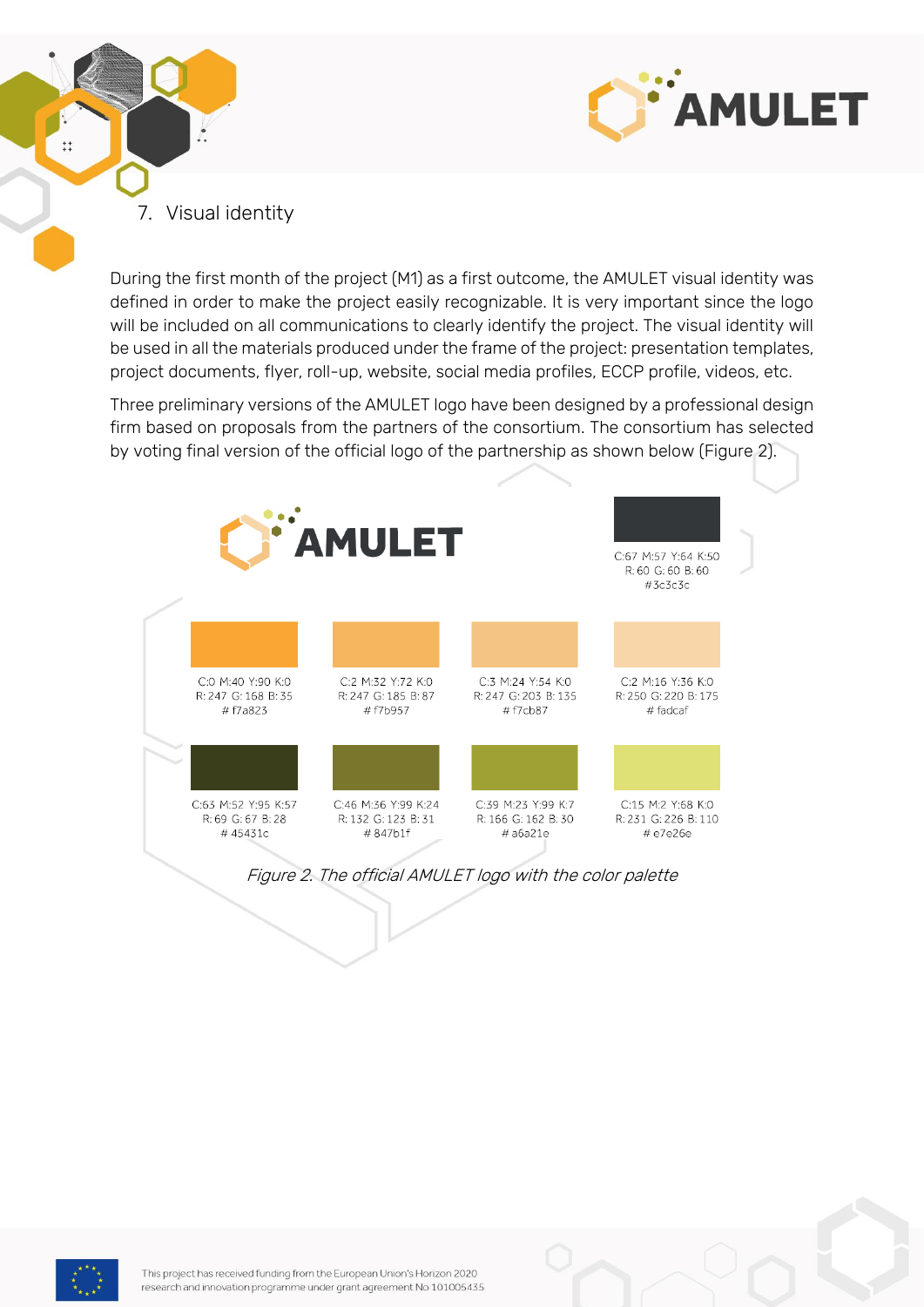



<span id="page-14-0"></span>During the first month of the project (M1) as a first outcome, the AMULET visual identity was defined in order to make the project easily recognizable. It is very important since the logo will be included on all communications to clearly identify the project. The visual identity will be used in all the materials produced under the frame of the project: presentation templates, project documents, flyer, roll-up, website, social media profiles, ECCP profile, videos, etc.

Three preliminary versions of the AMULET logo have been designed by a professional design firm based on proposals from the partners of the consortium. The consortium has selected by voting final version of the official logo of the partnership as shown below (Figure 2).



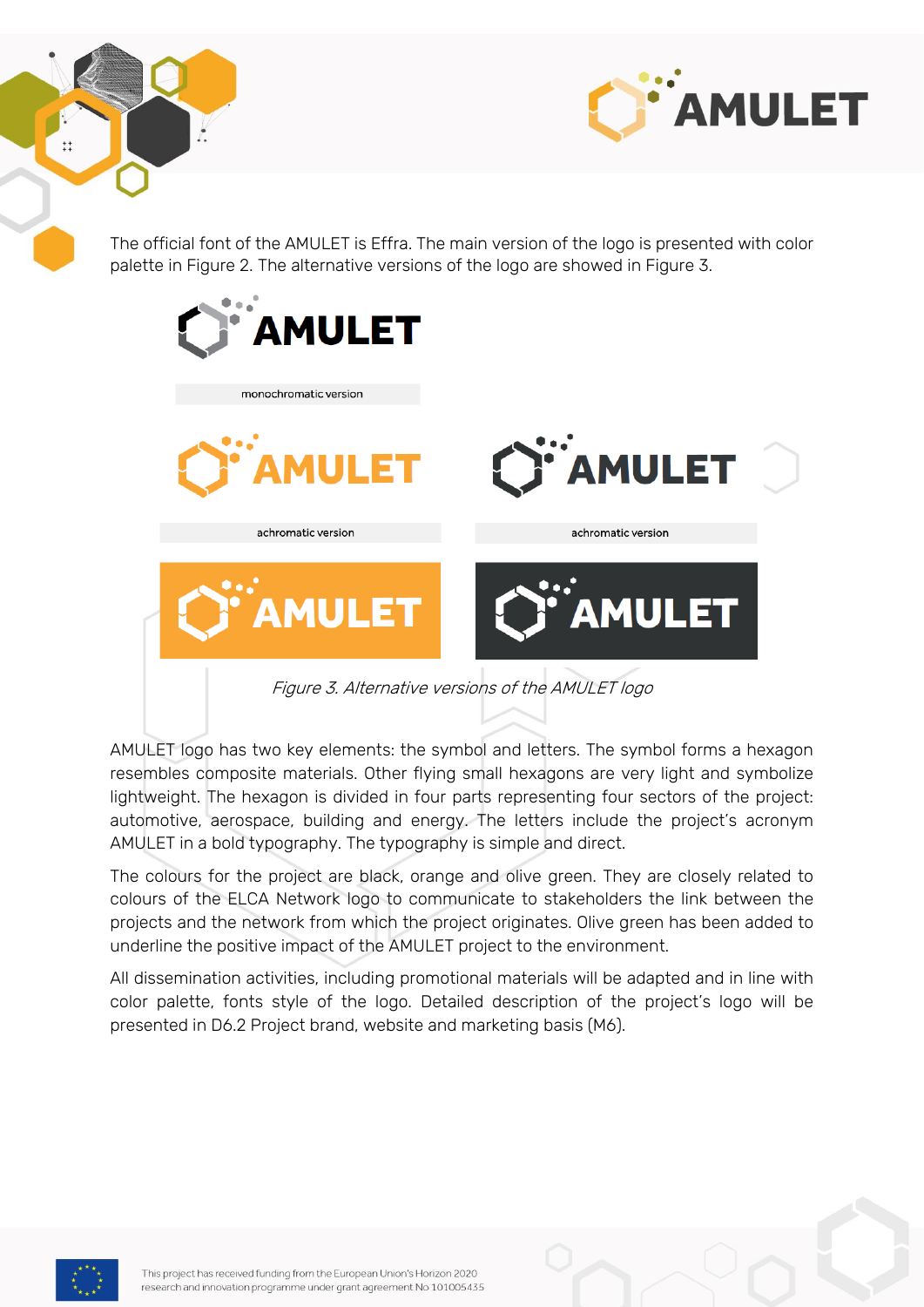



The official font of the AMULET is Effra. The main version of the logo is presented with color palette in Figure 2. The alternative versions of the logo are showed in Figure 3.



AMULET logo has two key elements: the symbol and letters. The symbol forms a hexagon resembles composite materials. Other flying small hexagons are very light and symbolize lightweight. The hexagon is divided in four parts representing four sectors of the project: automotive, aerospace, building and energy. The letters include the project's acronym AMULET in a bold typography. The typography is simple and direct.

The colours for the project are black, orange and olive green. They are closely related to colours of the ELCA Network logo to communicate to stakeholders the link between the projects and the network from which the project originates. Olive green has been added to underline the positive impact of the AMULET project to the environment.

All dissemination activities, including promotional materials will be adapted and in line with color palette, fonts style of the logo. Detailed description of the project's logo will be presented in D6.2 Project brand, website and marketing basis (M6).

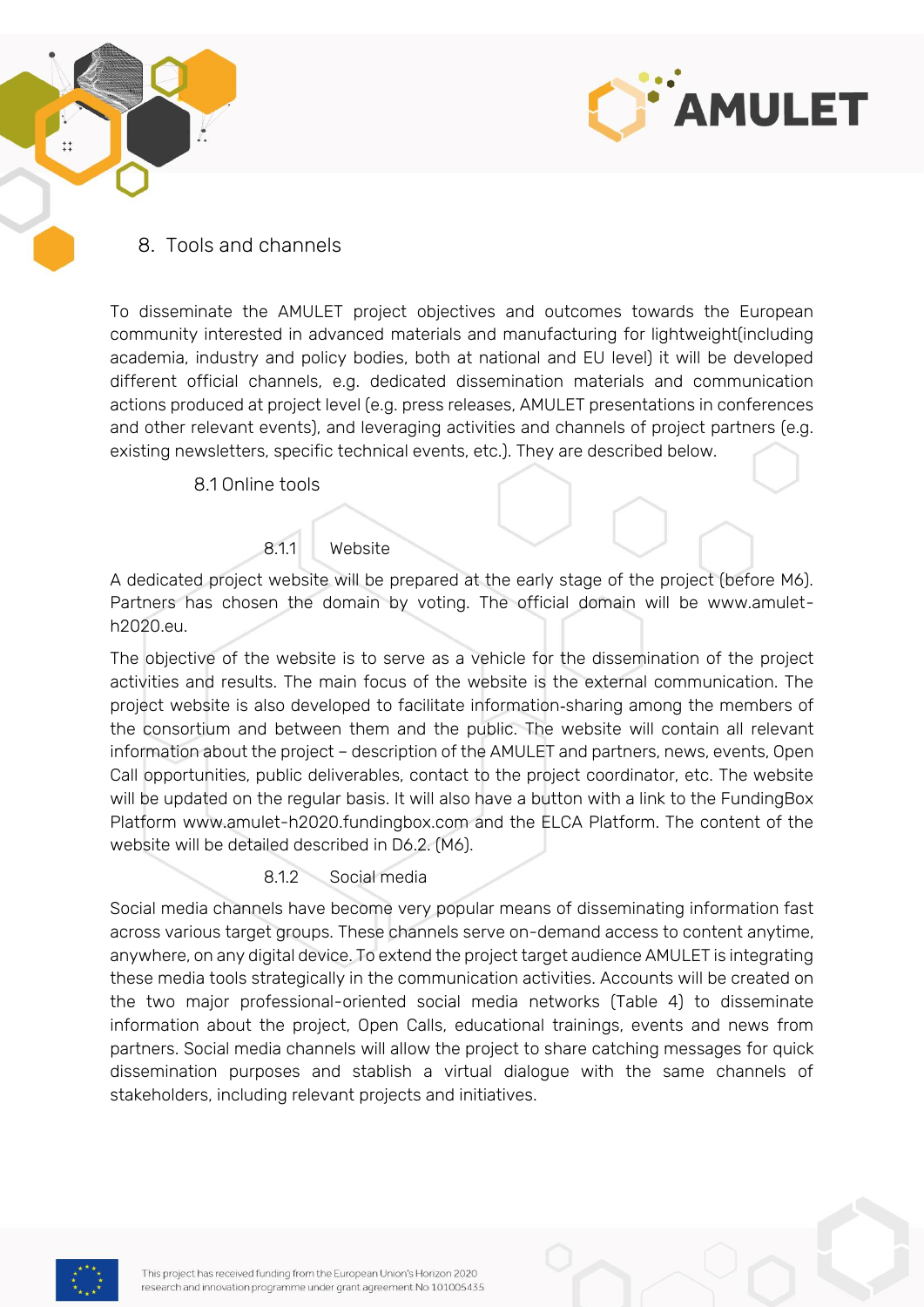



#### <span id="page-16-0"></span>8. Tools and channels

To disseminate the AMULET project objectives and outcomes towards the European community interested in advanced materials and manufacturing for lightweight(including academia, industry and policy bodies, both at national and EU level) it will be developed different official channels, e.g. dedicated dissemination materials and communication actions produced at project level (e.g. press releases, AMULET presentations in conferences and other relevant events), and leveraging activities and channels of project partners (e.g. existing newsletters, specific technical events, etc.). They are described below.

<span id="page-16-1"></span>8.1 Online tools

#### 8.1.1 Website

<span id="page-16-2"></span>A dedicated project website will be prepared at the early stage of the project (before M6). Partners has chosen the domain by voting. The official domain will be www.amuleth2020.eu.

The objective of the website is to serve as a vehicle for the dissemination of the project activities and results. The main focus of the website is the external communication. The project website is also developed to facilitate information‐sharing among the members of the consortium and between them and the public. The website will contain all relevant information about the project – description of the AMULET and partners, news, events, Open Call opportunities, public deliverables, contact to the project coordinator, etc. The website will be updated on the regular basis. It will also have a button with a link to the FundingBox Platform www.amulet-h2020.fundingbox.com and the ELCA Platform. The content of the website will be detailed described in D6.2. (M6).

#### 8.1.2 Social media

<span id="page-16-3"></span>Social media channels have become very popular means of disseminating information fast across various target groups. These channels serve on-demand access to content anytime, anywhere, on any digital device. To extend the project target audience AMULET is integrating these media tools strategically in the communication activities. Accounts will be created on the two major professional-oriented social media networks (Table 4) to disseminate information about the project, Open Calls, educational trainings, events and news from partners. Social media channels will allow the project to share catching messages for quick dissemination purposes and stablish a virtual dialogue with the same channels of stakeholders, including relevant projects and initiatives.

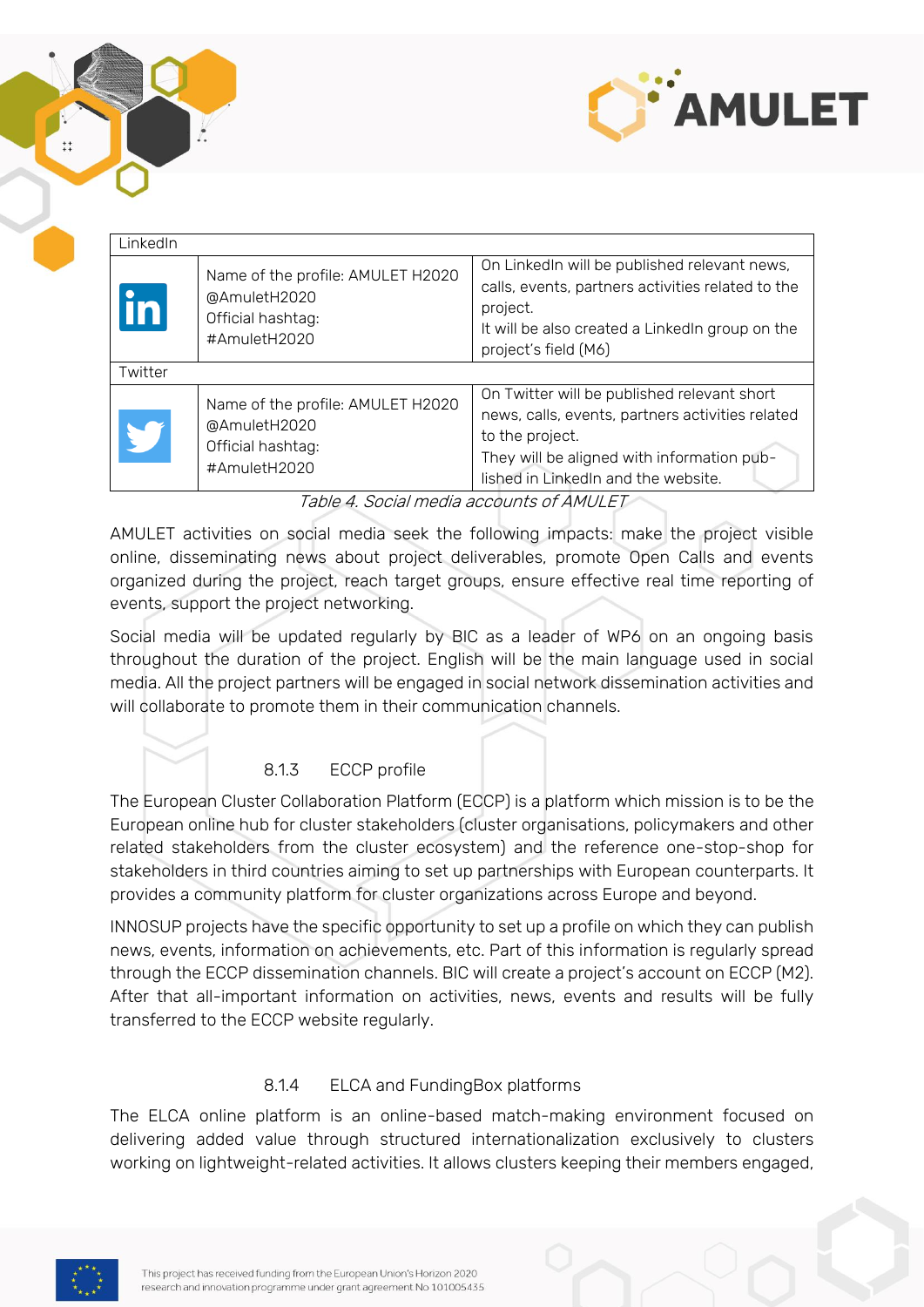



| LinkedIn |                                                                                        |                                                                                                                                                                                                         |
|----------|----------------------------------------------------------------------------------------|---------------------------------------------------------------------------------------------------------------------------------------------------------------------------------------------------------|
|          | Name of the profile: AMULET H2020<br>@AmuletH2020<br>Official hashtag:<br>#AmuletH2020 | On LinkedIn will be published relevant news,<br>calls, events, partners activities related to the<br>project.<br>It will be also created a LinkedIn group on the<br>project's field (M6)                |
| Twitter  |                                                                                        |                                                                                                                                                                                                         |
|          | Name of the profile: AMULET H2020<br>@AmuletH2020<br>Official hashtag:<br>#AmuletH2020 | On Twitter will be published relevant short<br>news, calls, events, partners activities related<br>to the project.<br>They will be aligned with information pub-<br>lished in LinkedIn and the website. |

Table 4. Social media accounts of AMULET

AMULET activities on social media seek the following impacts: make the project visible online, disseminating news about project deliverables, promote Open Calls and events organized during the project, reach target groups, ensure effective real time reporting of events, support the project networking.

Social media will be updated regularly by BIC as a leader of WP6 on an ongoing basis throughout the duration of the project. English will be the main language used in social media. All the project partners will be engaged in social network dissemination activities and will collaborate to promote them in their communication channels.

#### 8.1.3 ECCP profile

<span id="page-17-0"></span>The European Cluster Collaboration Platform (ECCP) is a platform which mission is to be the European online hub for cluster stakeholders (cluster organisations, policymakers and other related stakeholders from the cluster ecosystem) and the reference one-stop-shop for stakeholders in third countries aiming to set up partnerships with European counterparts. It provides a community platform for cluster organizations across Europe and beyond.

INNOSUP projects have the specific opportunity to set up a profile on which they can publish news, events, information on achievements, etc. Part of this information is regularly spread through the ECCP dissemination channels. BIC will create a project's account on ECCP (M2). After that all-important information on activities, news, events and results will be fully transferred to the ECCP website regularly.

#### 8.1.4 ELCA and FundingBox platforms

<span id="page-17-1"></span>The ELCA online platform is an online-based match-making environment focused on delivering added value through structured internationalization exclusively to clusters working on lightweight-related activities. It allows clusters keeping their members engaged,

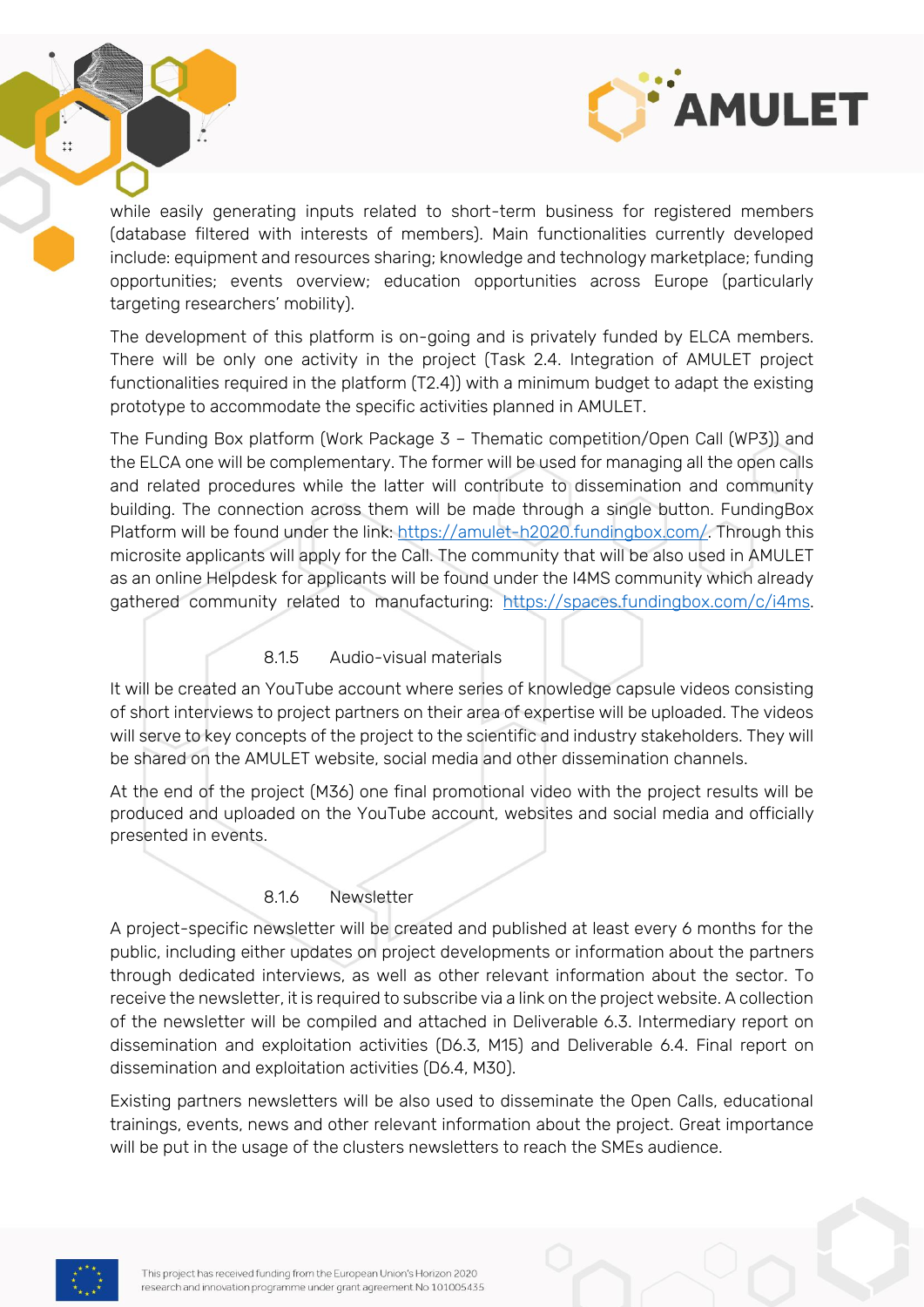

while easily generating inputs related to short-term business for registered members (database filtered with interests of members). Main functionalities currently developed include: equipment and resources sharing; knowledge and technology marketplace; funding opportunities; events overview; education opportunities across Europe (particularly targeting researchers' mobility).

The development of this platform is on-going and is privately funded by ELCA members. There will be only one activity in the project (Task 2.4. Integration of AMULET project functionalities required in the platform (T2.4)) with a minimum budget to adapt the existing prototype to accommodate the specific activities planned in AMULET.

The Funding Box platform (Work Package 3 – Thematic competition/Open Call (WP3)) and the ELCA one will be complementary. The former will be used for managing all the open calls and related procedures while the latter will contribute to dissemination and community building. The connection across them will be made through a single button. FundingBox Platform will be found under the link: [https://amulet-h2020.fundingbox.com/.](https://amulet-h2020.fundingbox.com/) Through this microsite applicants will apply for the Call. The community that will be also used in AMULET as an online Helpdesk for applicants will be found under the I4MS community which already gathered community related to manufacturing: [https://spaces.fundingbox.com/c/i4ms.](https://spaces.fundingbox.com/c/i4ms)

#### 8.1.5 Audio-visual materials

<span id="page-18-0"></span>It will be created an YouTube account where series of knowledge capsule videos consisting of short interviews to project partners on their area of expertise will be uploaded. The videos will serve to key concepts of the project to the scientific and industry stakeholders. They will be shared on the AMULET website, social media and other dissemination channels.

At the end of the project (M36) one final promotional video with the project results will be produced and uploaded on the YouTube account, websites and social media and officially presented in events.

#### 8.1.6 Newsletter

<span id="page-18-1"></span>A project-specific newsletter will be created and published at least every 6 months for the public, including either updates on project developments or information about the partners through dedicated interviews, as well as other relevant information about the sector. To receive the newsletter, it is required to subscribe via a link on the project website. A collection of the newsletter will be compiled and attached in Deliverable 6.3. Intermediary report on dissemination and exploitation activities (D6.3, M15) and Deliverable 6.4. Final report on dissemination and exploitation activities (D6.4, M30).

Existing partners newsletters will be also used to disseminate the Open Calls, educational trainings, events, news and other relevant information about the project. Great importance will be put in the usage of the clusters newsletters to reach the SMEs audience.



 $\ddot{+}$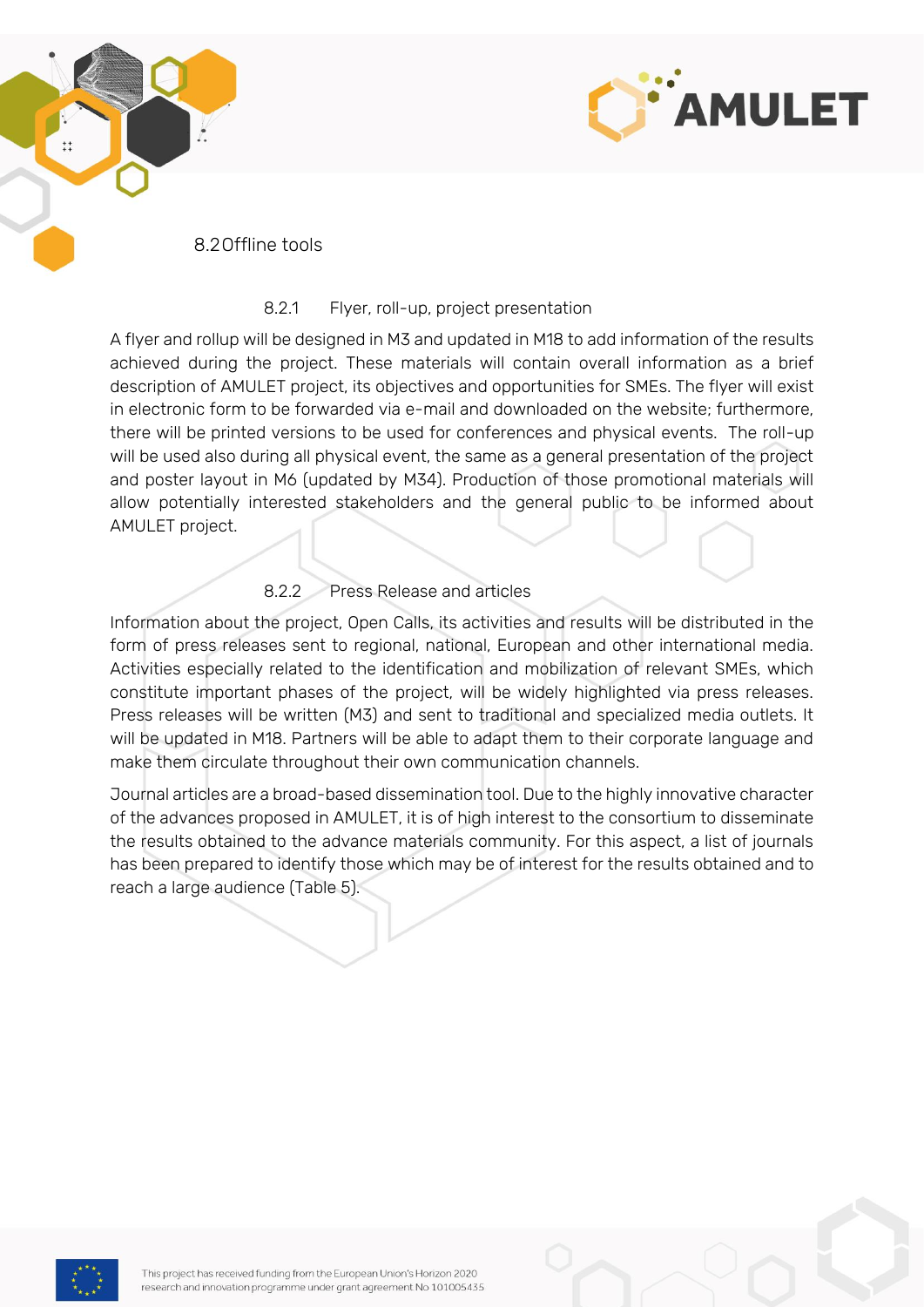



#### <span id="page-19-0"></span>8.2Offline tools

#### 8.2.1 Flyer, roll-up, project presentation

<span id="page-19-1"></span>A flyer and rollup will be designed in M3 and updated in M18 to add information of the results achieved during the project. These materials will contain overall information as a brief description of AMULET project, its objectives and opportunities for SMEs. The flyer will exist in electronic form to be forwarded via e-mail and downloaded on the website; furthermore, there will be printed versions to be used for conferences and physical events. The roll-up will be used also during all physical event, the same as a general presentation of the project and poster layout in M6 (updated by M34). Production of those promotional materials will allow potentially interested stakeholders and the general public to be informed about AMULET project.

#### 8.2.2 Press Release and articles

<span id="page-19-2"></span>Information about the project, Open Calls, its activities and results will be distributed in the form of press releases sent to regional, national, European and other international media. Activities especially related to the identification and mobilization of relevant SMEs, which constitute important phases of the project, will be widely highlighted via press releases. Press releases will be written (M3) and sent to traditional and specialized media outlets. It will be updated in M18. Partners will be able to adapt them to their corporate language and make them circulate throughout their own communication channels.

Journal articles are a broad-based dissemination tool. Due to the highly innovative character of the advances proposed in AMULET, it is of high interest to the consortium to disseminate the results obtained to the advance materials community. For this aspect, a list of journals has been prepared to identify those which may be of interest for the results obtained and to reach a large audience (Table 5).

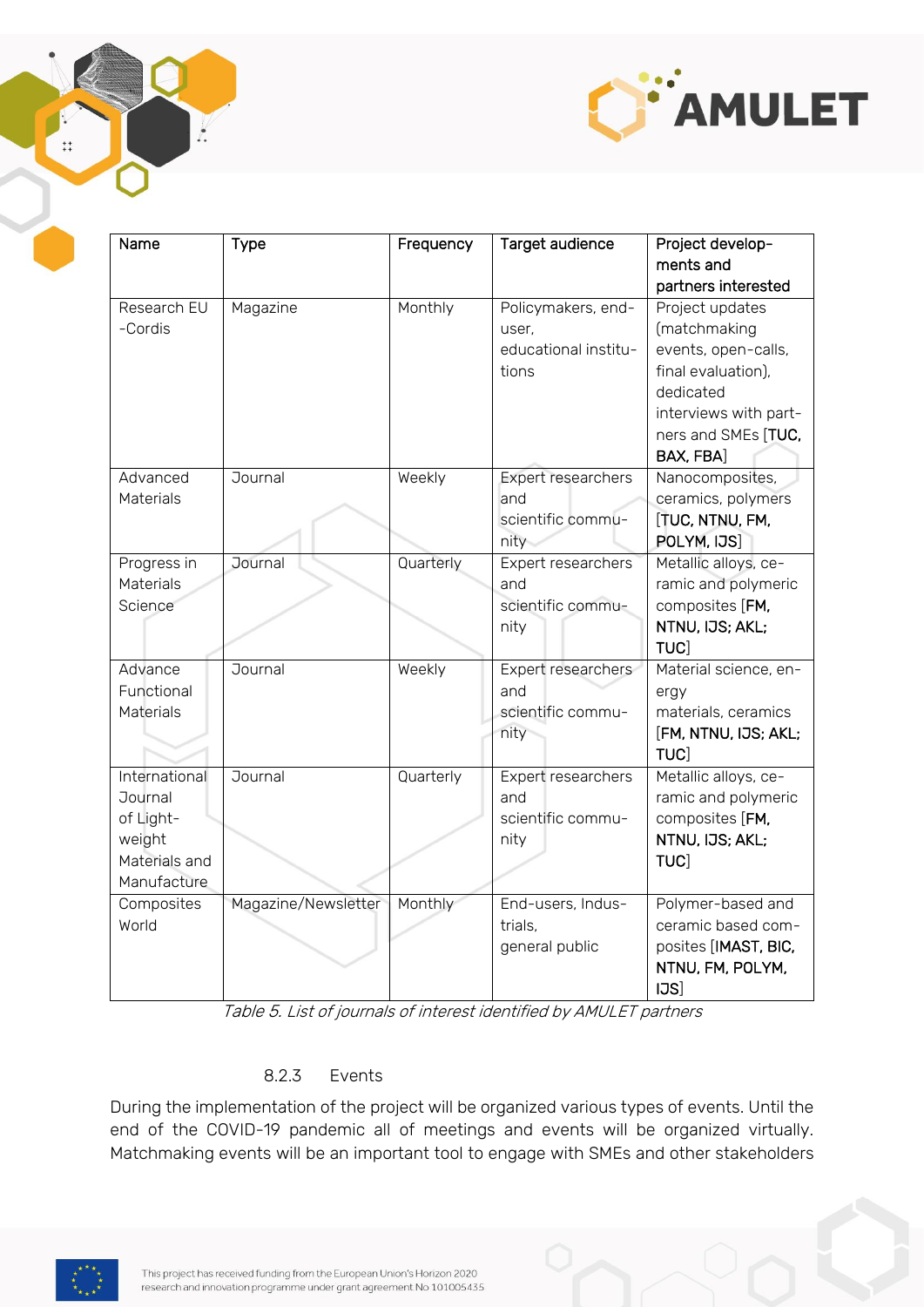



| Name          | <b>Type</b>         | Frequency | Target audience      | Project develop-      |
|---------------|---------------------|-----------|----------------------|-----------------------|
|               |                     |           |                      | ments and             |
|               |                     |           |                      | partners interested   |
| Research EU   | Magazine            | Monthly   | Policymakers, end-   | Project updates       |
| -Cordis       |                     |           | user,                | (matchmaking          |
|               |                     |           | educational institu- | events, open-calls,   |
|               |                     |           | tions                | final evaluation),    |
|               |                     |           |                      | dedicated             |
|               |                     |           |                      | interviews with part- |
|               |                     |           |                      | ners and SMEs [TUC,   |
|               |                     |           |                      | BAX, FBA]             |
| Advanced      | Journal             | Weekly    | Expert researchers   | Nanocomposites,       |
| Materials     |                     |           | and                  | ceramics, polymers    |
|               |                     |           | scientific commu-    | [TUC, NTNU, FM,       |
|               |                     |           | nity                 | POLYM, IJS]           |
| Progress in   | Journal             | Quarterly | Expert researchers   | Metallic alloys, ce-  |
| Materials     |                     |           | and                  | ramic and polymeric   |
| Science       |                     |           | scientific commu-    | composites [FM,       |
|               |                     |           | nity                 | NTNU, IJS; AKL;       |
|               |                     |           |                      | <b>TUC</b>            |
| Advance       | Journal             | Weekly    | Expert researchers   | Material science, en- |
| Functional    |                     |           | and                  | ergy                  |
| Materials     |                     |           | scientific commu-    | materials, ceramics   |
|               |                     |           | nity                 | [FM, NTNU, IJS; AKL;  |
|               |                     |           |                      | TUC]                  |
| International | Journal             | Quarterly | Expert researchers   | Metallic alloys, ce-  |
| Journal       |                     |           | and                  | ramic and polymeric   |
| of Light-     |                     |           | scientific commu-    | composites [FM,       |
| weight        |                     |           | nity                 | NTNU, IJS; AKL;       |
| Materials and |                     |           |                      | TUC]                  |
| Manufacture   |                     |           |                      |                       |
| Composites    | Magazine/Newsletter | Monthly   | End-users, Indus-    | Polymer-based and     |
| World         |                     |           | trials,              | ceramic based com-    |
|               |                     |           | general public       | posites [IMAST, BIC,  |
|               |                     |           |                      | NTNU, FM, POLYM,      |
|               |                     |           |                      | IJS]                  |

Table 5. List of journals of interest identified by AMULET partners

#### 8.2.3 Events

<span id="page-20-0"></span>During the implementation of the project will be organized various types of events. Until the end of the COVID-19 pandemic all of meetings and events will be organized virtually. Matchmaking events will be an important tool to engage with SMEs and other stakeholders

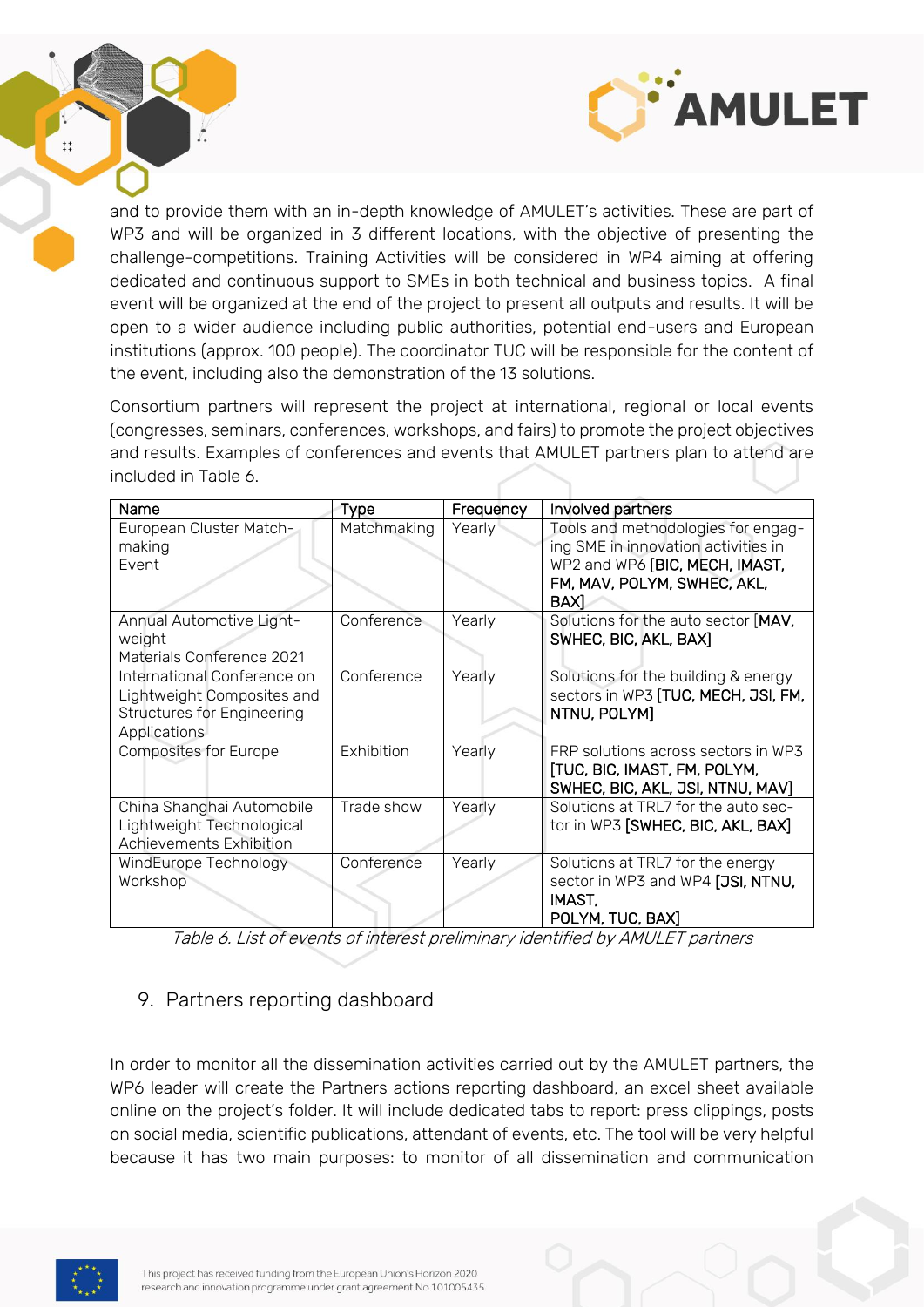

and to provide them with an in-depth knowledge of AMULET's activities. These are part of WP3 and will be organized in 3 different locations, with the objective of presenting the challenge-competitions. Training Activities will be considered in WP4 aiming at offering dedicated and continuous support to SMEs in both technical and business topics. A final event will be organized at the end of the project to present all outputs and results. It will be open to a wider audience including public authorities, potential end-users and European institutions (approx. 100 people). The coordinator TUC will be responsible for the content of the event, including also the demonstration of the 13 solutions.

Consortium partners will represent the project at international, regional or local events (congresses, seminars, conferences, workshops, and fairs) to promote the project objectives and results. Examples of conferences and events that AMULET partners plan to attend are included in Table 6.

| Name                                                                                                           | <b>Type</b> | Frequency | Involved partners                                                                                                                                  |
|----------------------------------------------------------------------------------------------------------------|-------------|-----------|----------------------------------------------------------------------------------------------------------------------------------------------------|
| European Cluster Match-<br>making<br>Event                                                                     | Matchmaking | Yearly    | Tools and methodologies for engag-<br>ing SME in innovation activities in<br>WP2 and WP6 [BIC, MECH, IMAST,<br>FM, MAV, POLYM, SWHEC, AKL,<br>BAX] |
| Annual Automotive Light-<br>weight<br>Materials Conference 2021                                                | Conference  | Yearly    | Solutions for the auto sector [MAV,<br>SWHEC, BIC, AKL, BAX]                                                                                       |
| International Conference on<br>Lightweight Composites and<br><b>Structures for Engineering</b><br>Applications | Conference  | Yearly    | Solutions for the building & energy<br>sectors in WP3 [TUC, MECH, JSI, FM,<br>NTNU, POLYM]                                                         |
| <b>Composites for Europe</b>                                                                                   | Exhibition  | Yearly    | FRP solutions across sectors in WP3<br>[TUC, BIC, IMAST, FM, POLYM,<br>SWHEC, BIC, AKL, JSI, NTNU, MAV]                                            |
| China Shanghai Automobile<br>Lightweight Technological<br>Achievements Exhibition                              | Trade show  | Yearly    | Solutions at TRL7 for the auto sec-<br>tor in WP3 [SWHEC, BIC, AKL, BAX]                                                                           |
| WindEurope Technology<br>Workshop                                                                              | Conference  | Yearly    | Solutions at TRL7 for the energy<br>sector in WP3 and WP4 [JSI, NTNU,<br>IMAST,<br>POLYM, TUC, BAX]                                                |

Table 6. List of events of interest preliminary identified by AMULET partners

#### <span id="page-21-0"></span>9. Partners reporting dashboard

In order to monitor all the dissemination activities carried out by the AMULET partners, the WP6 leader will create the Partners actions reporting dashboard, an excel sheet available online on the project's folder. It will include dedicated tabs to report: press clippings, posts on social media, scientific publications, attendant of events, etc. The tool will be very helpful because it has two main purposes: to monitor of all dissemination and communication

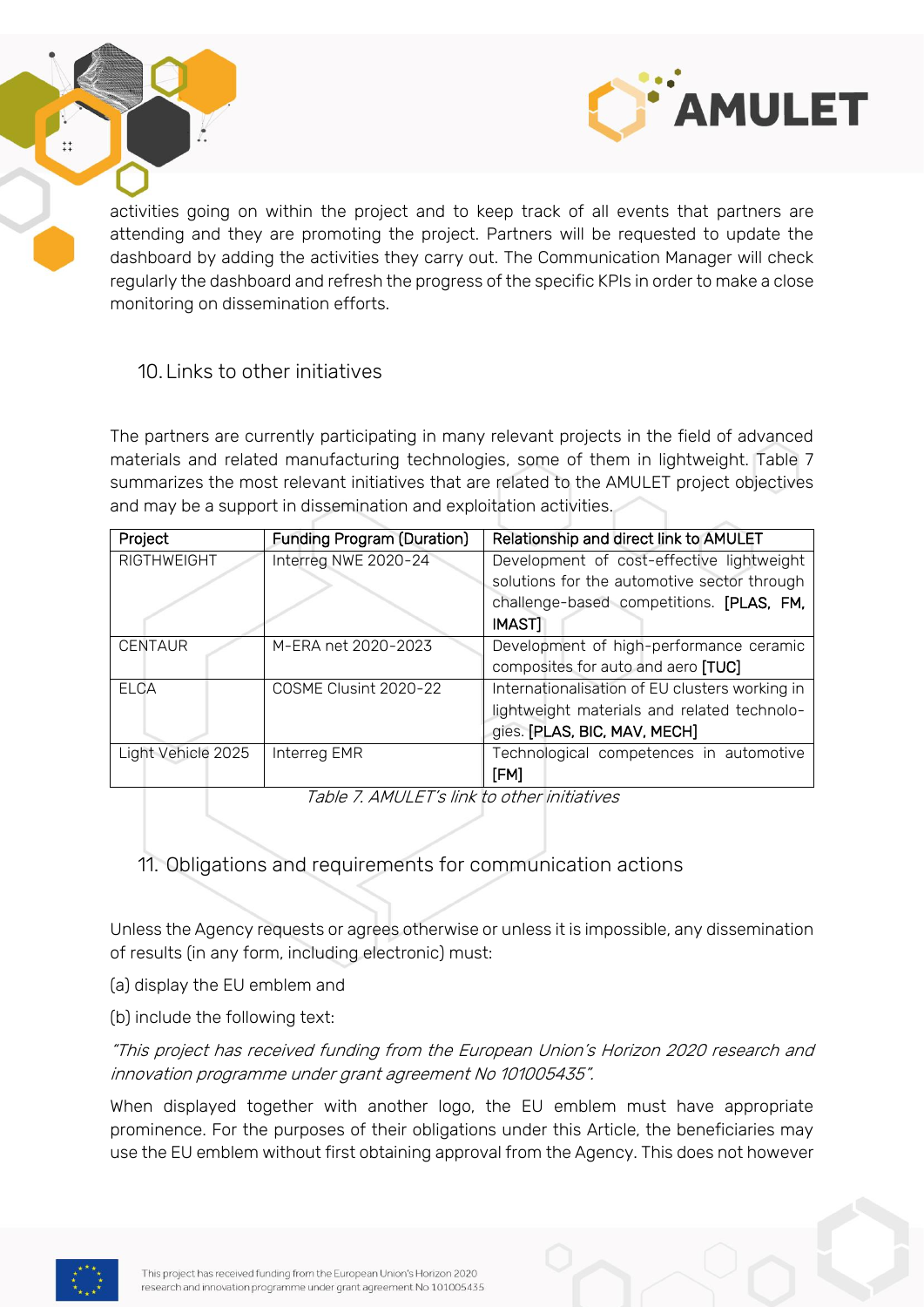

activities going on within the project and to keep track of all events that partners are attending and they are promoting the project. Partners will be requested to update the dashboard by adding the activities they carry out. The Communication Manager will check regularly the dashboard and refresh the progress of the specific KPIs in order to make a close monitoring on dissemination efforts.

#### <span id="page-22-0"></span>10.Links to other initiatives

The partners are currently participating in many relevant projects in the field of advanced materials and related manufacturing technologies, some of them in lightweight. Table 7 summarizes the most relevant initiatives that are related to the AMULET project objectives and may be a support in dissemination and exploitation activities.

| Project            | <b>Funding Program (Duration)</b> | Relationship and direct link to AMULET         |
|--------------------|-----------------------------------|------------------------------------------------|
| <b>RIGTHWEIGHT</b> | Interreg NWE 2020-24              | Development of cost-effective lightweight      |
|                    |                                   | solutions for the automotive sector through    |
|                    |                                   | challenge-based competitions. [PLAS, FM,       |
|                    |                                   | <b>IMAST]</b>                                  |
| <b>CENTAUR</b>     | M-ERA net 2020-2023               | Development of high-performance ceramic        |
|                    |                                   | composites for auto and aero [TUC]             |
| ELCA               | COSME Clusint 2020-22             | Internationalisation of EU clusters working in |
|                    |                                   | lightweight materials and related technolo-    |
|                    |                                   | gies. [PLAS, BIC, MAV, MECH]                   |
| Light Vehicle 2025 | Interreg EMR                      | Technological competences in automotive        |
|                    |                                   | [FM]                                           |

Table 7. AMULET's link to other initiatives

<span id="page-22-1"></span>11. Obligations and requirements for communication actions

Unless the Agency requests or agrees otherwise or unless it is impossible, any dissemination of results (in any form, including electronic) must:

- (a) display the EU emblem and
- (b) include the following text:

"This project has received funding from the European Union's Horizon 2020 research and innovation programme under grant agreement No 101005435".

When displayed together with another logo, the EU emblem must have appropriate prominence. For the purposes of their obligations under this Article, the beneficiaries may use the EU emblem without first obtaining approval from the Agency. This does not however

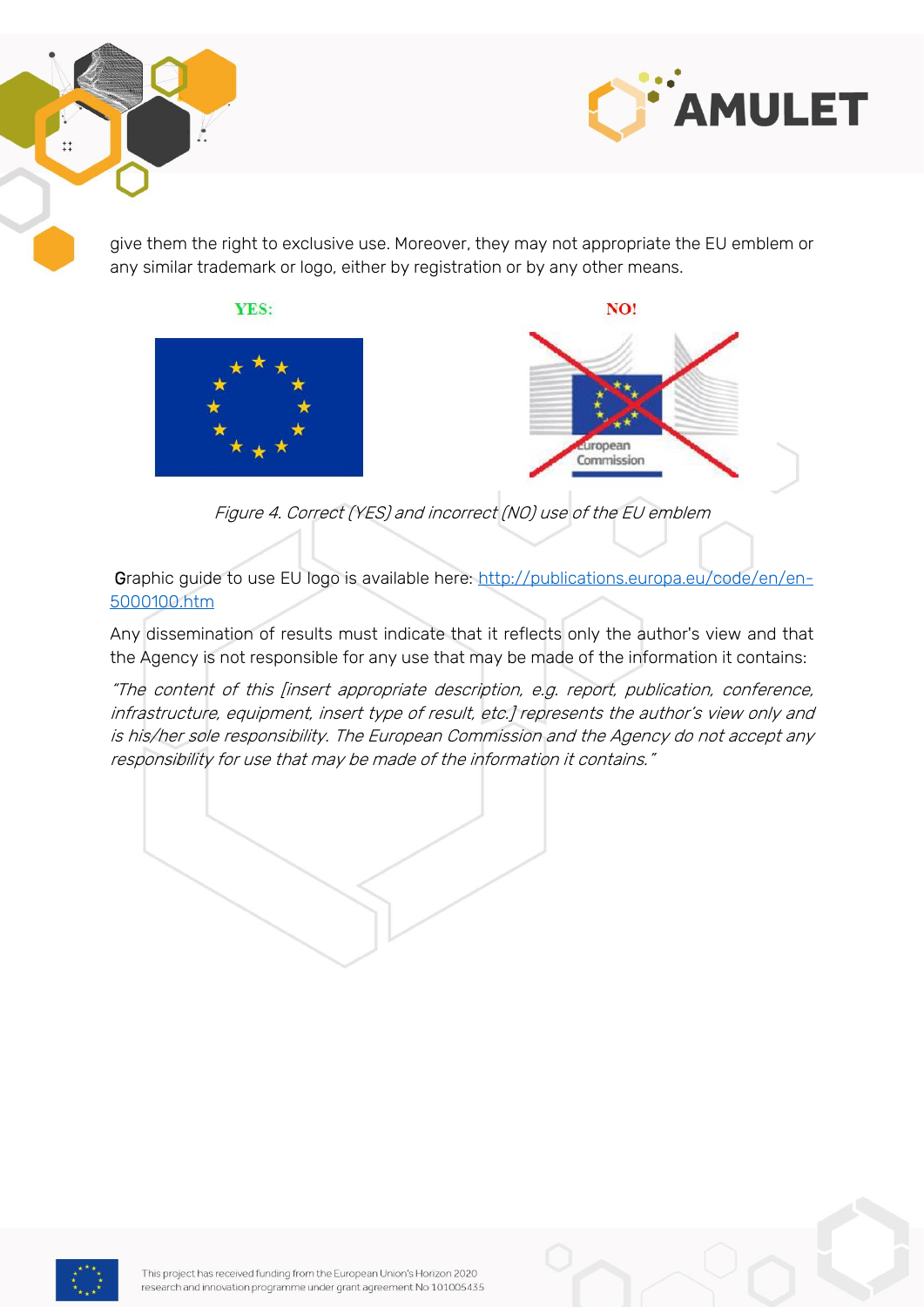



give them the right to exclusive use. Moreover, they may not appropriate the EU emblem or any similar trademark or logo, either by registration or by any other means.





Figure 4. Correct (YES) and incorrect (NO) use of the EU emblem

Graphic guide to use EU logo is available here: [http://publications.europa.eu/code/en/en-](http://publications.europa.eu/code/en/en-5000100.htm)[5000100.htm](http://publications.europa.eu/code/en/en-5000100.htm)

Any dissemination of results must indicate that it reflects only the author's view and that the Agency is not responsible for any use that may be made of the information it contains:

"The content of this [insert appropriate description, e.g. report, publication, conference, infrastructure, equipment, insert type of result, etc.] represents the author's view only and is his/her sole responsibility. The European Commission and the Agency do not accept any responsibility for use that may be made of the information it contains."